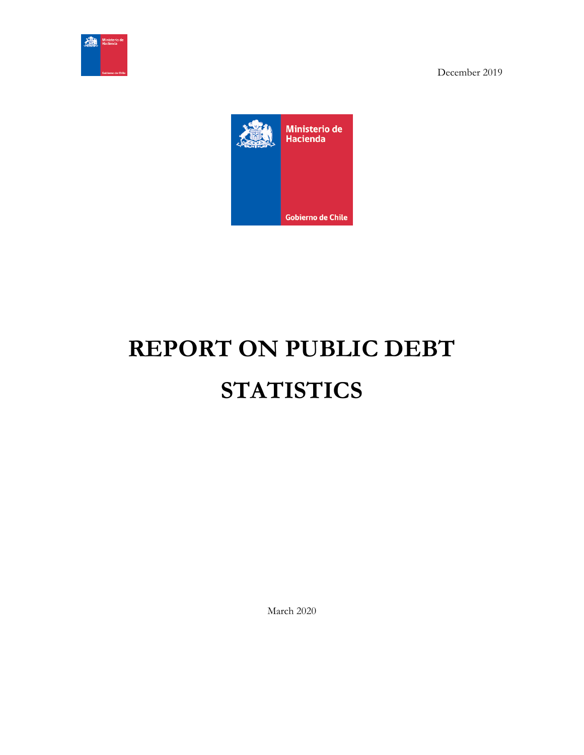



# **REPORT ON PUBLIC DEBT STATISTICS**

March 2020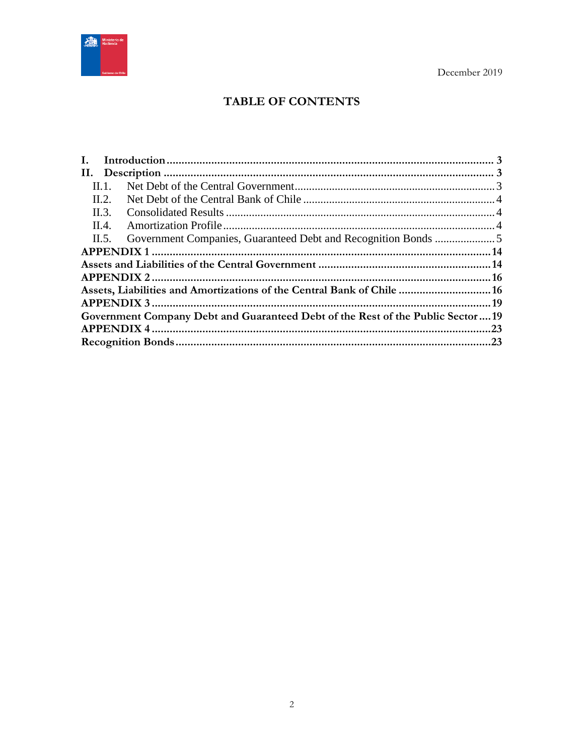

# TABLE OF CONTENTS

| Ι.    |                                                                                |  |
|-------|--------------------------------------------------------------------------------|--|
|       |                                                                                |  |
| Н. 1. |                                                                                |  |
| II.2. |                                                                                |  |
| II.3. |                                                                                |  |
| II.4. |                                                                                |  |
| II.5. |                                                                                |  |
|       |                                                                                |  |
|       |                                                                                |  |
|       |                                                                                |  |
|       | Assets, Liabilities and Amortizations of the Central Bank of Chile  16         |  |
|       |                                                                                |  |
|       | Government Company Debt and Guaranteed Debt of the Rest of the Public Sector19 |  |
|       |                                                                                |  |
|       |                                                                                |  |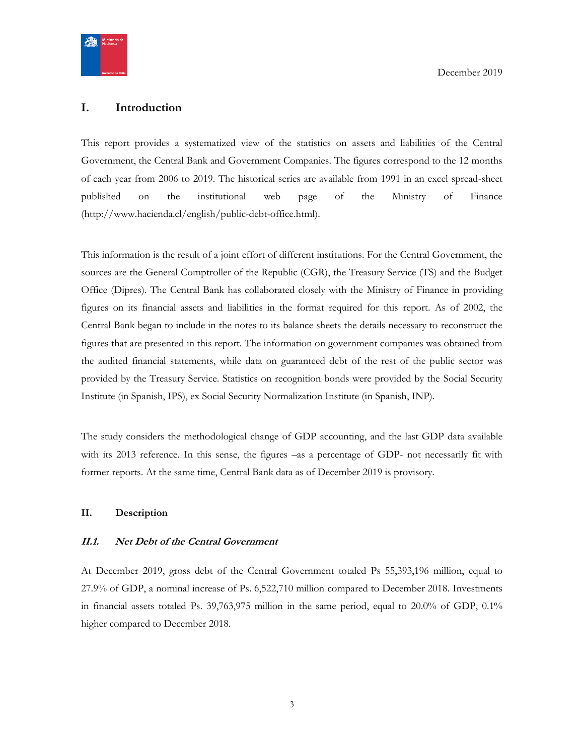

## <span id="page-2-0"></span>**I. Introduction**

This report provides a systematized view of the statistics on assets and liabilities of the Central Government, the Central Bank and Government Companies. The figures correspond to the 12 months of each year from 2006 to 2019. The historical series are available from 1991 in an excel spread-sheet published on the institutional web page of the Ministry of Finance (http://www.hacienda.cl/english/public-debt-office.html).

This information is the result of a joint effort of different institutions. For the Central Government, the sources are the General Comptroller of the Republic (CGR), the Treasury Service (TS) and the Budget Office (Dipres). The Central Bank has collaborated closely with the Ministry of Finance in providing figures on its financial assets and liabilities in the format required for this report. As of 2002, the Central Bank began to include in the notes to its balance sheets the details necessary to reconstruct the figures that are presented in this report. The information on government companies was obtained from the audited financial statements, while data on guaranteed debt of the rest of the public sector was provided by the Treasury Service. Statistics on recognition bonds were provided by the Social Security Institute (in Spanish, IPS), ex Social Security Normalization Institute (in Spanish, INP).

The study considers the methodological change of GDP accounting, and the last GDP data available with its 2013 reference. In this sense, the figures –as a percentage of GDP- not necessarily fit with former reports. At the same time, Central Bank data as of December 2019 is provisory.

#### <span id="page-2-1"></span>**II. Description**

#### <span id="page-2-2"></span>**II.1. Net Debt of the Central Government**

At December 2019, gross debt of the Central Government totaled Ps 55,393,196 million, equal to 27.9% of GDP, a nominal increase of Ps. 6,522,710 million compared to December 2018. Investments in financial assets totaled Ps. 39,763,975 million in the same period, equal to 20.0% of GDP, 0.1% higher compared to December 2018.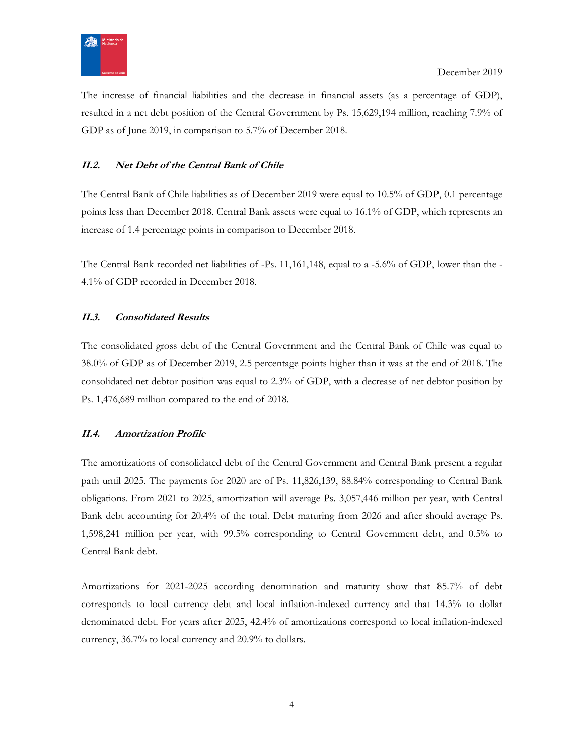

The increase of financial liabilities and the decrease in financial assets (as a percentage of GDP), resulted in a net debt position of the Central Government by Ps. 15,629,194 million, reaching 7.9% of GDP as of June 2019, in comparison to 5.7% of December 2018.

## <span id="page-3-0"></span>**II.2. Net Debt of the Central Bank of Chile**

The Central Bank of Chile liabilities as of December 2019 were equal to 10.5% of GDP, 0.1 percentage points less than December 2018. Central Bank assets were equal to 16.1% of GDP, which represents an increase of 1.4 percentage points in comparison to December 2018.

The Central Bank recorded net liabilities of -Ps. 11,161,148, equal to a -5.6% of GDP, lower than the - 4.1% of GDP recorded in December 2018.

#### <span id="page-3-1"></span>**II.3. Consolidated Results**

The consolidated gross debt of the Central Government and the Central Bank of Chile was equal to 38.0% of GDP as of December 2019, 2.5 percentage points higher than it was at the end of 2018. The consolidated net debtor position was equal to 2.3% of GDP, with a decrease of net debtor position by Ps. 1,476,689 million compared to the end of 2018.

#### <span id="page-3-2"></span>**II.4. Amortization Profile**

The amortizations of consolidated debt of the Central Government and Central Bank present a regular path until 2025. The payments for 2020 are of Ps. 11,826,139, 88.84% corresponding to Central Bank obligations. From 2021 to 2025, amortization will average Ps. 3,057,446 million per year, with Central Bank debt accounting for 20.4% of the total. Debt maturing from 2026 and after should average Ps. 1,598,241 million per year, with 99.5% corresponding to Central Government debt, and 0.5% to Central Bank debt.

Amortizations for 2021-2025 according denomination and maturity show that 85.7% of debt corresponds to local currency debt and local inflation-indexed currency and that 14.3% to dollar denominated debt. For years after 2025, 42.4% of amortizations correspond to local inflation-indexed currency, 36.7% to local currency and 20.9% to dollars.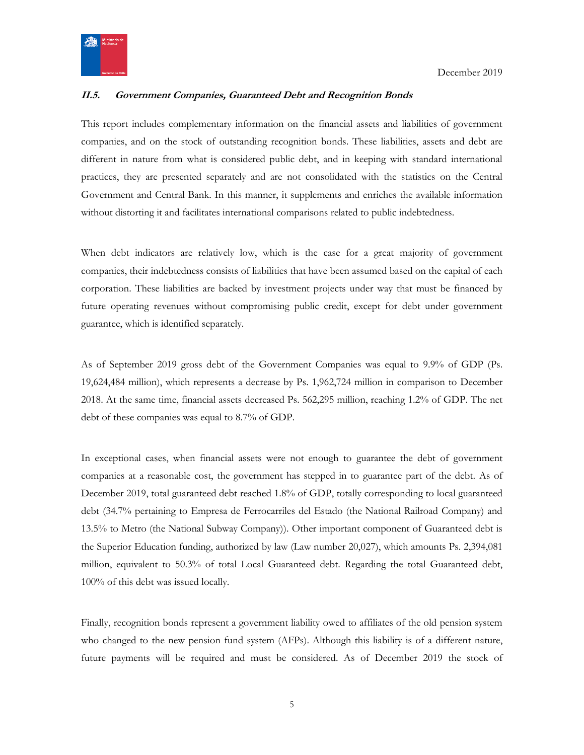

## <span id="page-4-0"></span>**II.5. Government Companies, Guaranteed Debt and Recognition Bonds**

This report includes complementary information on the financial assets and liabilities of government companies, and on the stock of outstanding recognition bonds. These liabilities, assets and debt are different in nature from what is considered public debt, and in keeping with standard international practices, they are presented separately and are not consolidated with the statistics on the Central Government and Central Bank. In this manner, it supplements and enriches the available information without distorting it and facilitates international comparisons related to public indebtedness.

When debt indicators are relatively low, which is the case for a great majority of government companies, their indebtedness consists of liabilities that have been assumed based on the capital of each corporation. These liabilities are backed by investment projects under way that must be financed by future operating revenues without compromising public credit, except for debt under government guarantee, which is identified separately.

As of September 2019 gross debt of the Government Companies was equal to 9.9% of GDP (Ps. 19,624,484 million), which represents a decrease by Ps. 1,962,724 million in comparison to December 2018. At the same time, financial assets decreased Ps. 562,295 million, reaching 1.2% of GDP. The net debt of these companies was equal to 8.7% of GDP.

In exceptional cases, when financial assets were not enough to guarantee the debt of government companies at a reasonable cost, the government has stepped in to guarantee part of the debt. As of December 2019, total guaranteed debt reached 1.8% of GDP, totally corresponding to local guaranteed debt (34.7% pertaining to Empresa de Ferrocarriles del Estado (the National Railroad Company) and 13.5% to Metro (the National Subway Company)). Other important component of Guaranteed debt is the Superior Education funding, authorized by law (Law number 20,027), which amounts Ps. 2,394,081 million, equivalent to 50.3% of total Local Guaranteed debt. Regarding the total Guaranteed debt, 100% of this debt was issued locally.

Finally, recognition bonds represent a government liability owed to affiliates of the old pension system who changed to the new pension fund system (AFPs). Although this liability is of a different nature, future payments will be required and must be considered. As of December 2019 the stock of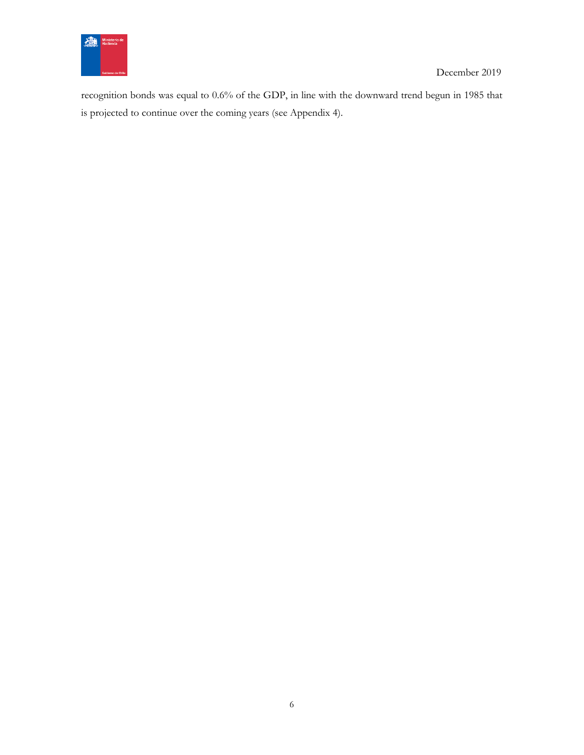

recognition bonds was equal to 0.6% of the GDP, in line with the downward trend begun in 1985 that is projected to continue over the coming years (see Appendix 4).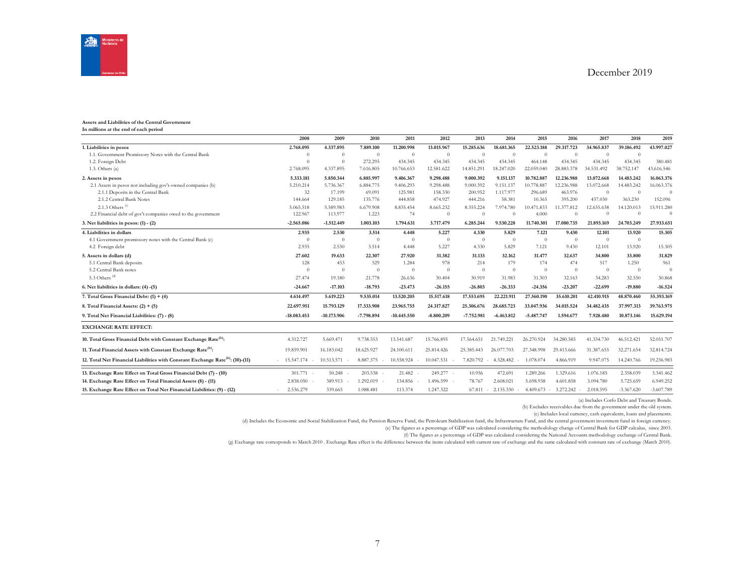

#### **Assets and Liabilities of the Central Government**

**In millions at the end of each period**

|                                                                                            | 2008                                      | 2009          | 2010         | 2011           | 2012           | 2013         | 2014           | 2015           | 2016       | 2017           | 2018         | 2019         |
|--------------------------------------------------------------------------------------------|-------------------------------------------|---------------|--------------|----------------|----------------|--------------|----------------|----------------|------------|----------------|--------------|--------------|
| 1. Liabilities in pesos                                                                    | 2.768.095                                 | 4.337.895     | 7.889.100    | 11.200.998     | 13.015.967     | 15.285.636   | 18.681.365     | 22.523.188     | 29.317.723 | 34.965.837     | 39.186.492   | 43.997.027   |
| 1.1. Government Promissory Notes with the Central Bank                                     | $\Omega$                                  | $\theta$      | $\theta$     | $\overline{0}$ | $\overline{0}$ | $\theta$     | $\theta$       | $\Omega$       | $\Omega$   | $\Omega$       | $\theta$     |              |
| 1.2. Foreign Debt                                                                          | $\Omega$                                  | $\Omega$      | 272.295      | 434.345        | 434.345        | 434.345      | 434.345        | 464.148        | 434.345    | 434.345        | 434.345      | 380.481      |
| 1.3. Others $(a)$                                                                          | 2.768.095                                 | 4.337.895     | 7.616.805    | 10.766.653     | 12.581.622     | 14.851.291   | 18.247.020     | 22.059.040     | 28.883.378 | 34.531.492     | 38.752.147   | 43.616.546   |
| 2. Assets in pesos                                                                         | 5.333.181                                 | 5.850.344     | 6.885.997    | 9.406.367      | 9.298.488      | 9.000.392    | 9.151.137      | 10.782.887     | 12.236.988 | 13.072.668     | 14.483.242   | 16.063.376   |
| 2.1 Assets in pesos not including gov't-owned companies (b)                                | 5.210.214                                 | 5.736.367     | 6.884.775    | 9.406.293      | 9.298.488      | 9.000.392    | 9.151.137      | 10.778.887     | 12.236.988 | 13.072.668     | 14.483.242   | 16.063.376   |
| 2.1.1 Deposits in the Central Bank                                                         | 32                                        | 17.199        | 69.091       | 125.981        | 158.330        | 200.952      | 1.117.977      | 296.689        | 463.976    | $\overline{0}$ | $\Omega$     | $\Omega$     |
| 2.1.2 Central Bank Notes                                                                   | 144.664                                   | 129.185       | 135.776      | 444.858        | 474.927        | 444.216      | 58.381         | 10.365         | 395.200    | 437.030        | 363.230      | 152.096      |
| 2.1.3 Others <sup>(c)</sup>                                                                | 5.065.518                                 | 5.589.983     | 6.679.908    | 8.835.454      | 8.665.232      | 8.355.224    | 7.974.780      | 10.471.833     | 11.377.812 | 12.635.638     | 14.120.013   | 15.911.280   |
| 2.2 Financial debt of gov't companies owed to the government                               | 122.967                                   | 113.977       | 1.223        | 74             | $\overline{0}$ | $\Omega$     | $\Omega$       | 4.000          | $\Omega$   | $\Omega$       | $\Omega$     | $\Omega$     |
| 3. Net liabilities in pesos: $(1) - (2)$                                                   | $-2.565.086$                              | $-1.512.449$  | 1.003.103    | 1.794.631      | 3.717.479      | 6.285.244    | 9.530.228      | 11.740.301     | 17.080.735 | 21.893.169     | 24.703.249   | 27.933.651   |
| 4. Liabilities in dollars                                                                  | 2.935                                     | 2.530         | 3.514        | 4.448          | 5.227          | 4.330        | 5.829          | 7.121          | 9.430      | 12.101         | 13.920       | 15.305       |
| 4.1 Government promissory notes with the Central Bank (c)                                  | $\Omega$                                  | $\theta$      | $\theta$     | $\theta$       | $\overline{0}$ | $\theta$     | $\overline{0}$ | $\theta$       | $\theta$   | $\theta$       | $\theta$     |              |
| 4.2 Foreign debt                                                                           | 2.935                                     | 2.530         | 3.514        | 4.448          | 5.227          | 4.330        | 5.829          | 7.121          | 9.430      | 12.101         | 13.920       | 15.305       |
| 5. Assets in dollars (d)                                                                   | 27.602                                    | 19.633        | 22.307       | 27.920         | 31.382         | 31.133       | 32.162         | 31.477         | 32.637     | 34.800         | 33.800       | 31.829       |
| 5.1 Central Bank deposits                                                                  | 128                                       | 453           | 529          | 1.284          | 978            | 214          | 179            | 174            | 474        | 517            | 1.250        | 961          |
| 5.2 Central Bank notes                                                                     | $\Omega$                                  | $\Omega$      | $\theta$     | $\Omega$       | $\theta$       | $\theta$     | $\theta$       | $\overline{0}$ | $\theta$   | $\theta$       | $\theta$     | $\Omega$     |
| 5.3 Others <sup>(d)</sup>                                                                  | 27.474                                    | 19.180        | 21.778       | 26.636         | 30.404         | 30.919       | 31.983         | 31.303         | 32.163     | 34.283         | 32.550       | 30.868       |
| 6. Net liabilities in dollars: (4) -(5)                                                    | $-24.667$                                 | $-17.103$     | $-18.793$    | $-23.473$      | $-26.155$      | $-26.803$    | $-26.333$      | $-24.356$      | $-23.207$  | $-22.699$      | $-19.880$    | $-16.524$    |
| 7. Total Gross Financial Debt: $(1) + (4)$                                                 | 4.614.497                                 | 5.619.223     | 9.535.014    | 13.520.205     | 15.517.618     | 17.553.695   | 22.221.911     | 27.560.190     | 35.610.201 | 42.410.915     | 48.870.460   | 55.393.169   |
| 8. Total Financial Assets: $(2) + (5)$                                                     | 22.697.951                                | 15.793.129    | 17.333.908   | 23.965.755     | 24.317.827     | 25.306.676   | 28.685.723     | 33.047.936     | 34.015.524 | 34.482.435     | 37.997.313   | 39.763.975   |
| 9. Total Net Financial Liabilities: (7) - (8)                                              | $-18.083.453$                             | $-10.173.906$ | $-7.798.894$ | $-10.445.550$  | $-8.800.209$   | $-7.752.981$ | $-6.463.812$   | $-5.487.747$   | 1.594.677  | 7.928.480      | 10.873.146   | 15.629.194   |
| <b>EXCHANGE RATE EFFECT:</b>                                                               |                                           |               |              |                |                |              |                |                |            |                |              |              |
| 10. Total Gross Financial Debt with Constant Exchange Rate <sup>(h)</sup> :                | 4.312.727                                 | 5.669.471     | 9.738.553    | 13.541.687     | 15.766.895     | 17.564.651   | 21.749.221     | 26.270.924     | 34.280.585 | 41.334.730     | 46.512.421   | 52.051.707   |
| 11. Total Financial Assets with Constant Exchange Rate <sup>(h)</sup> :                    | 19.859.901                                | 16.183.042    | 18.625.927   | 24.100.611     | 25.814.426     | 25.385.443   | 26.077.703     | 27.348.998     | 29.413.666 | 31.387.655     | 32.271.654   | 32.814.724   |
| 12. Total Net Financial Liabilities with Constant Exchange Rate <sup>(h)</sup> : (10)-(11) | $-15.547.174$<br>$\overline{\phantom{a}}$ | 10.513.571    | 8.887.375    | 10.558.924     | 10.047.531     | 7.820.792    | 4.328.482      | 1.078.074      | 4.866.919  | 9.947.075      | 14.240.766   | 19.236.983   |
| 13. Exchange Rate Effect on Total Gross Financial Debt (7) - (10)                          | $301.771 -$                               | 50.248        | 203.538      | 21.482         | 249.277 -      | 10.956       | 472.691        | 1.289.266      | 1.329.616  | 1.076.185      | 2.358.039    | 3.341.462    |
| 14. Exchange Rate Effect on Total Financial Assets (8) - (11)                              | 2.838.050                                 | 389.913       | 1.292.019    | 134,856        | 1.496.599 -    | 78.767       | 2.608.021      | 5.698.938      | 4.601.858  | 3.094.780      | 5.725.659    | 6.949.252    |
| 15. Exchange Rate Effect on Total Net Financial Liabilities: (9) - (12)                    | 2.536.279                                 | 339.665       | 1.088.481    | 113.374        | 1.247.322      | 67.811       | 2.135.330      | 4.409.673      | 3.272.242  | 2.018.595      | $-3.367.620$ | $-3.607.789$ |

(a) Includes Corfo Debt and Treasury Bonds.

(b) Excludes receivables due from the government under the old system.

(c) Includes local currency, cash equivalents, loans and placements.

(d) Includes the Economic and Social Stabilization Fund, the Pension Reserve Fund, the Petroleum Stabilization fund, the Infrastructure Fund, and the central government investment fund in foreign currency.

(e) The figures as a percentage of GDP was calculated considering the methodology change of Central Bank for GDP calculus, since 2003.

(f) The figures as a percentage of GDP was calculated considering the National Accounts methodology exchange of Central Bank.

(g) Exchange rate corresponds to March 2010 . Exchange Rate effect is the difference between the items calculated with current rate of exchange and the same calculated with constant rate of exchange (March 2010).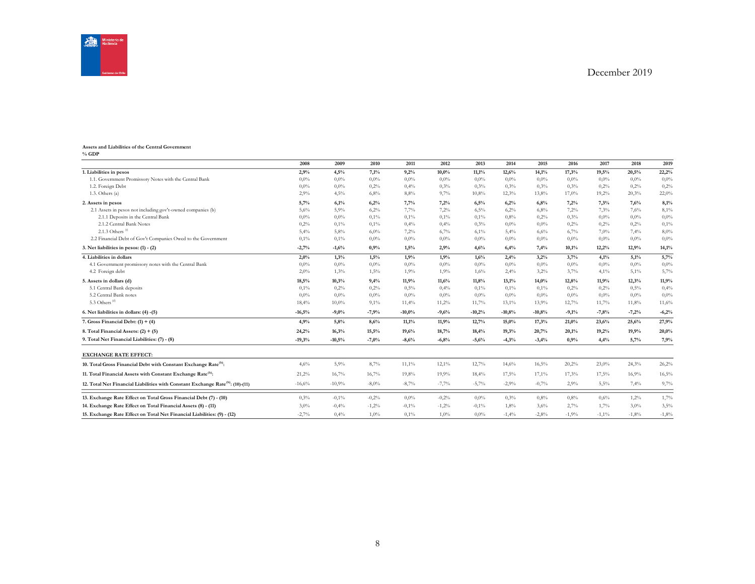



#### **Assets and Liabilities of the Central Government % GDP**

|                                                                                            | 2008     | 2009     | 2010     | 2011     | 2012    | 2013     | 2014     | 2015     | 2016    | 2017     | 2018    | 2019    |
|--------------------------------------------------------------------------------------------|----------|----------|----------|----------|---------|----------|----------|----------|---------|----------|---------|---------|
| 1. Liabilities in pesos                                                                    | 2,9%     | 4,5%     | 7,1%     | 9,2%     | 10,0%   | 11,1%    | 12,6%    | 14,1%    | 17,3%   | 19,5%    | 20,5%   | 22,2%   |
| 1.1. Government Promissory Notes with the Central Bank                                     | $0.0\%$  | 0,0%     | $0.0\%$  | $0.0\%$  | $0.0\%$ | $0.0\%$  | $0.0\%$  | $0.0\%$  | $0.0\%$ | $0.0\%$  | $0.0\%$ | $0.0\%$ |
| 1.2. Foreign Debt                                                                          | 0.0%     | 0,0%     | 0,2%     | 0,4%     | 0,3%    | 0,3%     | 0,3%     | 0,3%     | 0,3%    | 0,2%     | 0,2%    | 0,2%    |
| 1.3. Others $(a)$                                                                          | 2,9%     | 4,5%     | 6,8%     | 8,8%     | 9,7%    | 10,8%    | 12,3%    | 13,8%    | 17,0%   | 19,2%    | 20,3%   | 22,0%   |
| 2. Assets in pesos                                                                         | 5,7%     | 6.1%     | 6,2%     | 7,7%     | 7.2%    | 6,5%     | 6,2%     | 6,8%     | 7.2%    | 7.3%     | 7.6%    | 8.1%    |
| 2.1 Assets in pesos not including gov't-owned companies (b)                                | 5,6%     | 5,9%     | 6,2%     | 7,7%     | 7,2%    | 6,5%     | 6,2%     | 6,8%     | 7,2%    | 7,3%     | 7.6%    | 8,1%    |
| 2.1.1 Deposits in the Central Bank                                                         | $0.0\%$  | 0,0%     | 0,1%     | 0,1%     | 0,1%    | 0,1%     | 0.8%     | 0,2%     | 0.3%    | $0.0\%$  | $0.0\%$ | $0.0\%$ |
| 2.1.2 Central Bank Notes                                                                   | 0,2%     | 0,1%     | 0,1%     | 0,4%     | 0,4%    | 0,3%     | $0.0\%$  | $0.0\%$  | 0,2%    | 0,2%     | 0,2%    | 0,1%    |
| 2.1.3 Others <sup>(c)</sup>                                                                | 5,4%     | 5,8%     | 6,0%     | 7,2%     | 6,7%    | 6,1%     | 5,4%     | 6,6%     | 6,7%    | 7,0%     | 7,4%    | 8,0%    |
| 2.2 Financial Debt of Gov't Companies Owed to the Government                               | 0,1%     | 0,1%     | $0.0\%$  | $0.0\%$  | 0,0%    | $0.0\%$  | $0.0\%$  | $0.0\%$  | $0.0\%$ | $0.0\%$  | $0.0\%$ | $0.0\%$ |
| 3. Net liabilities in pesos: $(1) - (2)$                                                   | $-2,7%$  | $-1,6%$  | 0,9%     | 1,5%     | 2,9%    | 4,6%     | 6,4%     | 7,4%     | 10,1%   | 12,2%    | 12,9%   | 14,1%   |
| 4. Liabilities in dollars                                                                  | 2,0%     | 1,3%     | 1,5%     | 1,9%     | 1,9%    | 1,6%     | 2,4%     | 3,2%     | 3,7%    | 4,1%     | 5,1%    | 5,7%    |
| 4.1 Government promissory notes with the Central Bank                                      | 0.0%     | 0,0%     | $0.0\%$  | 0,0%     | 0,0%    | 0.0%     | $0.0\%$  | $0.0\%$  | $0.0\%$ | $0.0\%$  | $0.0\%$ | $0.0\%$ |
| 4.2 Foreign debt                                                                           | 2,0%     | 1,3%     | 1,5%     | 1,9%     | 1,9%    | 1,6%     | 2,4%     | 3,2%     | 3,7%    | 4,1%     | 5,1%    | 5,7%    |
| 5. Assets in dollars (d)                                                                   | 18,5%    | 10,3%    | 9,4%     | 11,9%    | 11,6%   | 11,8%    | 13,1%    | 14,0%    | 12,8%   | 11.9%    | 12,3%   | 11,9%   |
| 5.1 Central Bank deposits                                                                  | 0.1%     | 0,2%     | 0,2%     | 0,5%     | 0,4%    | 0,1%     | 0,1%     | 0,1%     | 0,2%    | 0,2%     | 0.5%    | 0,4%    |
| 5.2 Central Bank notes                                                                     | $0.0\%$  | 0,0%     | $0.0\%$  | 0,0%     | $0.0\%$ | 0.0%     | $0.0\%$  | $0.0\%$  | $0.0\%$ | $0.0\%$  | $0.0\%$ | $0.0\%$ |
| 5.3 Others $(d)$                                                                           | 18,4%    | 10,0%    | 9,1%     | 11,4%    | 11,2%   | 11,7%    | 13,1%    | 13,9%    | 12,7%   | 11,7%    | 11,8%   | 11,6%   |
| 6. Net liabilities in dollars: (4) -(5)                                                    | $-16,5%$ | $-9,0%$  | $-7,9%$  | $-10,0%$ | $-9,6%$ | $-10,2%$ | $-10,8%$ | $-10,8%$ | $-9,1%$ | $-7,8%$  | $-7,2%$ | $-6,2%$ |
| 7. Gross Financial Debt: $(1) + (4)$                                                       | 4.9%     | 5,8%     | 8,6%     | 11,1%    | 11,9%   | 12,7%    | 15,0%    | 17,3%    | 21,0%   | 23,6%    | 25,6%   | 27,9%   |
| 8. Total Financial Assets: $(2) + (5)$                                                     | 24,2%    | 16,3%    | 15,5%    | 19,6%    | 18,7%   | 18,4%    | 19,3%    | 20,7%    | 20,1%   | 19,2%    | 19,9%   | 20,0%   |
| 9. Total Net Financial Liabilities: (7) - (8)                                              | $-19,3%$ | $-10,5%$ | $-7,0%$  | $-8,6%$  | $-6,8%$ | $-5,6%$  | $-4,3%$  | $-3,4%$  | 0,9%    | 4,4%     | 5,7%    | 7,9%    |
| <b>EXCHANGE RATE EFFECT:</b>                                                               |          |          |          |          |         |          |          |          |         |          |         |         |
| 10. Total Gross Financial Debt with Constant Exchange Rate <sup>(h)</sup> :                | 4,6%     | 5,9%     | 8,7%     | 11,1%    | 12,1%   | 12,7%    | 14,6%    | 16,5%    | 20,2%   | 23,0%    | 24,3%   | 26,2%   |
| 11. Total Financial Assets with Constant Exchange Rate <sup>(h)</sup> :                    | 21,2%    | 16,7%    | 16,7%    | 19,8%    | 19,9%   | 18,4%    | 17,5%    | 17,1%    | 17,3%   | 17,5%    | 16,9%   | 16,5%   |
| 12. Total Net Financial Liabilities with Constant Exchange Rate <sup>(h)</sup> : (10)-(11) | $-16,6%$ | $-10,9%$ | $-8,0\%$ | $-8,7%$  | $-7,7%$ | $-5,7%$  | $-2,9%$  | $-0,7%$  | 2,9%    | 5,5%     | 7,4%    | 9,7%    |
| 13. Exchange Rate Effect on Total Gross Financial Debt (7) - (10)                          | 0,3%     | $-0,1%$  | $-0,2%$  | 0,0%     | $-0,2%$ | 0.0%     | 0,3%     | 0,8%     | 0.8%    | 0,6%     | 1,2%    | 1,7%    |
| 14. Exchange Rate Effect on Total Financial Assets (8) - (11)                              | 3,0%     | $-0,4%$  | $-1,2%$  | $-0.1\%$ | $-1,2%$ | $-0.1%$  | 1,8%     | 3,6%     | 2,7%    | 1,7%     | $3.0\%$ | 3,5%    |
| 15. Exchange Rate Effect on Total Net Financial Liabilities: (9) - (12)                    | $-2,7%$  | 0,4%     | 1,0%     | 0,1%     | 1,0%    | $0.0\%$  | $-1,4%$  | $-2,8%$  | $-1,9%$ | $-1,1\%$ | $-1,8%$ | $-1,8%$ |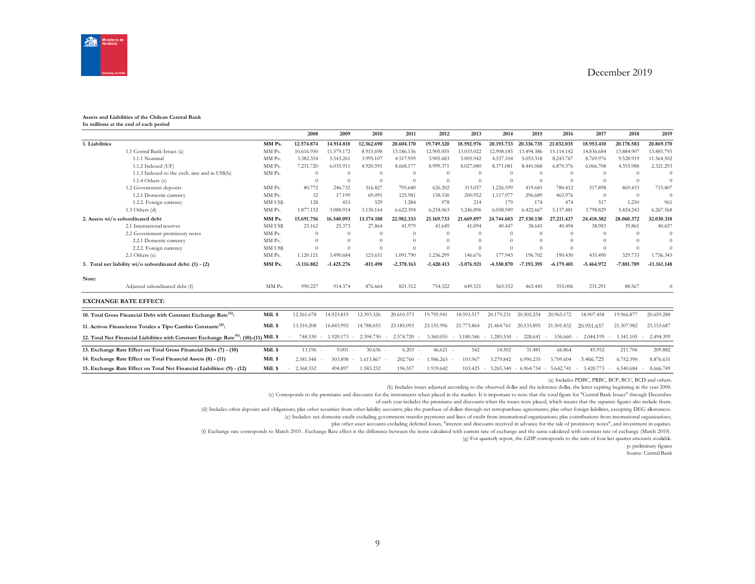

#### **Assets and Liabilities of the Chilean Central Bank In millions at the end of each period**

|                |                                                                                                     |          | 2008         | 2009              | 2010       | 2011         | 2012         | 2013                | 2014                | 2015         | 2016         | 2017                | 2018       | 2019          |
|----------------|-----------------------------------------------------------------------------------------------------|----------|--------------|-------------------|------------|--------------|--------------|---------------------|---------------------|--------------|--------------|---------------------|------------|---------------|
| 1. Liabilities |                                                                                                     | MM Ps.   | 12.574.874   | 14.914.818        | 12.362.690 | 20.604.170   | 19.749.320   | 18.592.976          | 20.193.733          | 20.336.735   | 21.032.035   | 18.953.410          | 20.178.583 | 20.869.170    |
|                | 1.1 Central Bank Issues (a)                                                                         | MM Ps.   | 10.616.950   | 11.579.172        | 8.915.698  | 13.186.136   | 12.905.055   | 13.033.022          | 12.908.185          | 13.494.386   | 15.114.142   | 14.836.684          | 13.884.907 | 13.885.795    |
|                | 1.1.1 Nominal                                                                                       | MM Ps.   | 3.382.354    | 5.543.261         | 3.995.107  | 4.517.959    | 3.905.683    | 5.005.942           | 4.537.104           | 5.053.318    | 8.243.767    | 8.769.976           | 9.528.919  | 11.564.502    |
|                | 1.1.2 Indexed (UF)                                                                                  | MM Ps.   | 7.231.720    | 6.035.911         | 4.920.591  | 8.668.177    | 8.999.371    | 8.027.080           | 8.371.081           | 8.441.068    | 6.870.376    | 6.066.708           | 4.355.988  | 2.321.293     |
|                | 1.1.3 Indexed to the exch. rate and in US\$(b)                                                      | MM Ps.   | $\Omega$     | $\Omega$          | $\Omega$   | $\Omega$     | $\Omega$     | $\Omega$            | $\Omega$            | $\Omega$     | $\Omega$     | $\Omega$            | $\Omega$   | $\sqrt{ }$    |
|                | $1.1.4$ Others $(c)$                                                                                |          | $\Omega$     | $\Omega$          | $\Omega$   | $\Omega$     | $\theta$     | $\Omega$            | $\Omega$            | $\Omega$     | $\Omega$     | $\Omega$            | $\Omega$   | $\Omega$      |
|                | 1.2 Government deposits                                                                             | MM Ps.   | 80,772       | 246.732           | 316,827    | 795.640      | 626.202      | 313.057             | 1.226.599           | 419.683      | 780.412      | 317,898             | 869.433    | 715.807       |
|                | 1.2.1 Domestic currency                                                                             | MM Ps.   | 32           | 17.199            | 69.091     | 125.981      | 158.330      | 200.952             | 1.117.977           | 296.689      | 463.976      | $\Omega$            | $\theta$   | $\sqrt{ }$    |
|                | 1.2.2. Foreign currency                                                                             | MM US\$  | 128          | 453               | 529        | 1.284        | 978          | 214                 | 179                 | 174          | 474          | 517                 | 1.250      | 961           |
|                | $1.3$ Others $(d)$                                                                                  | MM Ps.   | 1.877.152    | 3.088.914         | 3.130.164  | 6.622.394    | 6.218.063    | 5.246.896           | 6.058.949           | 6.422.667    | 5.137.481    | 3.798.829           | 5.424.243  | 6.267.568     |
|                | 2. Assets wi/o subordinated debt                                                                    | MM Ps.   | 15.691.756   | 16.340.093        | 13.174.188 | 22.982.333   | 21.169.733   | 21.669.897          | 24.744.603          | 27.530.130   | 27.211.437   | 24.418.382          | 28.060.372 | 32.030.318    |
|                | 2.1 International reserves                                                                          | MM US\$  | 23.162       | 25.373            | 27.864     | 41.979       | 41.649       | 41.094              | 40.447              | 38.643       | 40.494       | 38.983              | 39.861     | 40.657        |
|                | 2.2 Government promissory notes                                                                     | MM Ps.   | $\Omega$     | $\Omega$          | $\Omega$   |              | $\Omega$     | $\Omega$            | $\theta$            | $\Omega$     | $\Omega$     | $\Omega$            | $\Omega$   | $\sqrt{ }$    |
|                | 2.2.1 Domestic currency                                                                             | MM Ps.   | $\Omega$     | $\Omega$          | $\Omega$   |              | $\Omega$     | $\Omega$            | $\Omega$            | $\Omega$     | $\Omega$     | $\Omega$            | $\Omega$   | $\Omega$      |
|                | 2.2.2. Foreign currency                                                                             | MM US\$  | $\Omega$     |                   | $\Omega$   |              | $\Omega$     | $\Omega$            | $\Omega$            | $\Omega$     | $\Omega$     | $\Omega$            | $\Omega$   | $\Omega$      |
|                | 2.3 Others (e)                                                                                      | MM Ps.   | 1.120.121    | 3.490.684         | 123.651    | 1.091.790    | 1.236.299    | 146.676             | 177.943             | 196.702      | 190.430      | 435.490             | 329.733    | 1.756.343     |
|                | 3. Total net liability wi/o subordinated debt: (1) - (2)                                            | MM Ps.   | $-3.116.882$ | $-1.425.276$      | $-811.498$ | $-2.378.163$ | $-1.420.413$ | $-3.076.921$        | -4.550.870          | -7.193.395   | $-6.179.401$ | $-5.464.972$        | -7.881.789 | $-11.161.148$ |
| Note:          |                                                                                                     |          |              |                   |            |              |              |                     |                     |              |              |                     |            |               |
|                | Adjusted subordinated debt (f)                                                                      | MM Ps.   | 990.227      | 914.374           | 876.664    | 821.312      | 754.322      | 649.521             | 565.552             | 465.445      | 355,006      | 231.291             | 88.567     | $\Omega$      |
|                | <b>EXCHANGE RATE EFFECT:</b>                                                                        |          |              |                   |            |              |              |                     |                     |              |              |                     |            |               |
|                | 10. Total Gross Financial Debt with Constant Exchange Rate <sup>(h)</sup> :                         | Mill. \$ | 12.561.678   | 14.923.819        | 12.393.326 | 20.610.373   | 19.795.941   | 18.593.517          | 20.179.231          | 20.305.254   | 20.965.172   | 18.907.458          | 19.966.877 | 20.659.288    |
|                | 11. Activos Financieros Totales a Tipo Cambio Constante <sup>(g)</sup> :                            | Mill. \$ | 13.310.208   | 16.843.992        | 14.788.055 | 23.185.093   | 23.155.996   | 21,773,864          | 21.464.761          | 20.533.895   | 21.501.832   | 20.951.657          | 21.307.982 | 23.153.687    |
|                | 12. Total Net Financial Liabilities with Constant Exchange Rate <sup>(h)</sup> : (10)-(11) Mill. \$ |          | 748.530      | 1.920.173         | 2.394.730  | 2.574.720    | 3.360.055    | 3.180.346<br>$\sim$ | 1.285.530<br>$\sim$ | 228.641      | 536.660      | 2.044.199           | 1.341.105  | 2.494.399     |
|                | 13. Exchange Rate Effect on Total Gross Financial Debt (7) - (10)                                   | Mill. \$ | 13.196 -     | 9.001             | $30.636 -$ | 6.203        | 46.621       | 542                 | 14.502              | 31.481       | 66.864       | 45.952              | 211.706    | 209.882       |
|                | 14. Exchange Rate Effect on Total Financial Assets (8) - (11)                                       | Mill. \$ | 2.381.548    | 503.898<br>$\sim$ | 1.613.867  | 202.760      | 1.986.263    | 103.967             | 3.279.842           | 6.996.235    | 5.709.604    | 3.466.725           | 6.752.390  | 8.876.631     |
|                | 15. Exchange Rate Effect on Total Net Financial Liabilities: (9) - (12)                             | Mill. \$ | 2.368.352    | 494.897           | 1.583.232  | 196.557      | 1.939.642    | 103.425             | 3.265.340<br>$\sim$ | $-6.964.754$ | $-5.642.741$ | 3.420.773<br>$\sim$ | 6.540.684  | 8.666.749     |

(a) Includes PDBC, PRBC, BCP, BCU, BCD and others.

(b) Includes issues adjusted according to the observed dollar and the reference dollar, the latter expiring beginning in the year 2000.

(c) Corresponds to the premiums and discounts for the instruments when placed in the market. It is important to note that the total figure for "Central Bank Issues" through December

of each year includes the premiums and discounts when the issues were placed, which means that the separate figures also include them.

(d) Includes other deposits and obligations; plus other securities from other liability accounts; plas the purchase of dollars through net retropurchase agreements; plus other foreign liabilities, excepting DEG allowances.

(e) Includes: net domestic credit excluding government transfer payments and lines of credit from international organizations; plus contributions from international organizations;

plus other asset accounts excluding deferred losses, "interest and discounts received in advance for the sale of promissory notes", and investment in equities.

(f) Exchange rate corresponds to March 2010 . Exchange Rate effect is the difference between the items calculated with current rate of exchange and the same calculated with constant rate of exchange (March 2010).

(g) For quarterly report, the GDP corresponds to the sum of four last quarter amounts available.

p: preliminary figures Source: Central Bank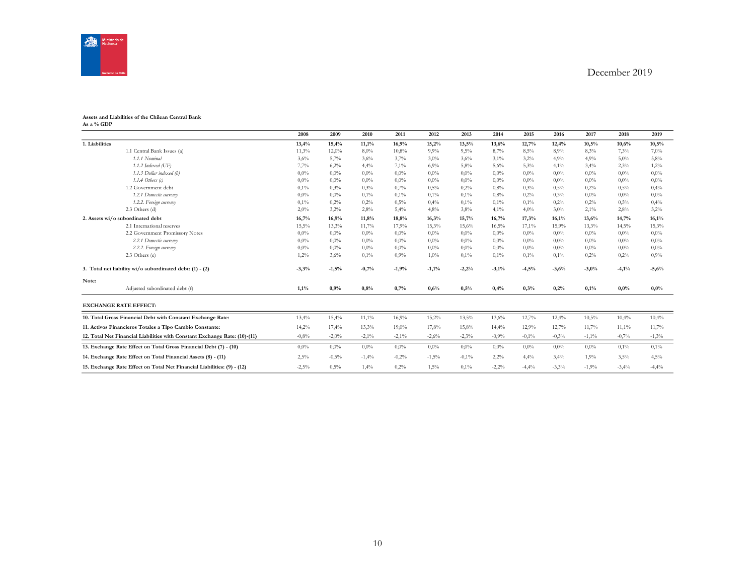

#### **Assets and Liabilities of the Chilean Central Bank As a % GDP**

|                                                                            | 2008     | 2009     | 2010     | 2011     | 2012    | 2013    | 2014    | 2015    | 2016    | 2017     | 2018    | 2019     |
|----------------------------------------------------------------------------|----------|----------|----------|----------|---------|---------|---------|---------|---------|----------|---------|----------|
| 1. Liabilities                                                             | 13,4%    | 15,4%    | 11,1%    | 16,9%    | 15,2%   | 13,5%   | 13,6%   | 12,7%   | 12,4%   | 10,5%    | 10,6%   | 10,5%    |
| 1.1 Central Bank Issues (a)                                                | 11,3%    | 12,0%    | 8,0%     | 10,8%    | 9.9%    | 9,5%    | 8,7%    | 8,5%    | 8,9%    | 8,3%     | 7.3%    | 7,0%     |
| 1.1.1 Nominal                                                              | 3,6%     | 5,7%     | 3,6%     | 3,7%     | 3,0%    | 3,6%    | 3,1%    | 3,2%    | 4,9%    | 4,9%     | 5,0%    | 5,8%     |
| $1.1.2$ Indexed (UF)                                                       | 7,7%     | 6,2%     | 4,4%     | 7,1%     | 6,9%    | 5,8%    | 5,6%    | 5,3%    | 4,1%    | 3,4%     | 2,3%    | 1,2%     |
| 1.1.3 Dollar indexed (b)                                                   | 0,0%     | 0,0%     | 0,0%     | $0,0\%$  | 0,0%    | $0.0\%$ | $0.0\%$ | $0.0\%$ | 0,0%    | 0,0%     | $0.0\%$ | $0,0\%$  |
| $1.1.4$ Others (c)                                                         | 0.0%     | 0,0%     | 0,0%     | 0,0%     | $0.0\%$ | $0.0\%$ | $0.0\%$ | $0.0\%$ | 0,0%    | $0.0\%$  | $0.0\%$ | $0.0\%$  |
| 1.2 Government debt                                                        | 0,1%     | 0,3%     | 0,3%     | 0,7%     | 0,5%    | 0,2%    | 0.8%    | 0.3%    | 0,5%    | 0,2%     | 0,5%    | 0,4%     |
| 1.2.1 Domestic currency                                                    | 0,0%     | 0,0%     | 0,1%     | 0,1%     | 0,1%    | $0.1\%$ | 0.8%    | 0.2%    | 0,3%    | $0.0\%$  | $0.0\%$ | $0,0\%$  |
| 1.2.2. Foreign currency                                                    | 0,1%     | 0,2%     | 0,2%     | 0,5%     | 0,4%    | $0.1\%$ | 0,1%    | 0,1%    | 0,2%    | 0,2%     | 0,5%    | 0,4%     |
| 2.3 Others (d)                                                             | 2,0%     | 3,2%     | 2,8%     | 5,4%     | 4,8%    | $3.8\%$ | 4,1%    | 4,0%    | 3,0%    | 2,1%     | 2,8%    | 3,2%     |
| 2. Assets wi/o subordinated debt                                           | 16,7%    | 16,9%    | 11,8%    | 18,8%    | 16,3%   | 15,7%   | 16,7%   | 17,3%   | 16,1%   | 13,6%    | 14,7%   | 16,1%    |
| 2.1 International reserves                                                 | $15,5\%$ | 13.3%    | 11,7%    | 17,9%    | 15,3%   | 15,6%   | 16,5%   | 17,1%   | 15,9%   | 13.3%    | 14,5%   | 15,3%    |
| 2.2 Government Promissory Notes                                            | 0,0%     | 0,0%     | $0.0\%$  | $0.0\%$  | $0.0\%$ | $0.0\%$ | $0.0\%$ | $0.0\%$ | $0.0\%$ | $0.0\%$  | $0.0\%$ | 0,0%     |
| 2.2.1 Domestic currency                                                    | 0.0%     | 0,0%     | 0,0%     | 0,0%     | 0,0%    | $0.0\%$ | $0.0\%$ | $0.0\%$ | 0,0%    | 0,0%     | $0.0\%$ | $0,0\%$  |
| 2.2.2. Foreign currency                                                    | 0,0%     | 0,0%     | 0,0%     | $0.0\%$  | $0.0\%$ | $0.0\%$ | $0.0\%$ | $0.0\%$ | $0.0\%$ | $0.0\%$  | $0.0\%$ | $0.0\%$  |
| 2.3 Others (e)                                                             | 1,2%     | 3,6%     | 0,1%     | 0,9%     | 1,0%    | $0.1\%$ | 0,1%    | 0,1%    | 0,1%    | 0,2%     | 0,2%    | 0.9%     |
| 3. Total net liability wi/o subordinated debt: (1) - (2)                   | $-3,3%$  | $-1,5%$  | $-0,7%$  | $-1,9%$  | $-1,1%$ | $-2,2%$ | $-3,1%$ | $-4,5%$ | $-3,6%$ | $-3,0%$  | $-4,1%$ | $-5,6%$  |
| Note:                                                                      |          |          |          |          |         |         |         |         |         |          |         |          |
| Adjusted subordinated debt (f)                                             | 1,1%     | 0,9%     | 0.8%     | 0,7%     | 0,6%    | 0,5%    | 0,4%    | 0,3%    | 0,2%    | 0,1%     | 0,0%    | $0.0\%$  |
| <b>EXCHANGE RATE EFFECT:</b>                                               |          |          |          |          |         |         |         |         |         |          |         |          |
| 10. Total Gross Financial Debt with Constant Exchange Rate:                | 13,4%    | 15,4%    | $11,1\%$ | 16,9%    | 15,2%   | 13,5%   | 13,6%   | 12,7%   | 12,4%   | 10,5%    | 10,4%   | 10,4%    |
| 11. Activos Financieros Totales a Tipo Cambio Constante:                   | 14,2%    | 17,4%    | 13,3%    | 19,0%    | 17,8%   | 15,8%   | 14,4%   | 12,9%   | 12,7%   | 11,7%    | 11,1%   | 11,7%    |
| 12. Total Net Financial Liabilities with Constant Exchange Rate: (10)-(11) | $-0,8%$  | $-2,0\%$ | $-2,1\%$ | $-2,1\%$ | $-2,6%$ | $-2,3%$ | $-0,9%$ | $-0,1%$ | $-0,3%$ | $-1,1\%$ | $-0,7%$ | $-1,3\%$ |
| 13. Exchange Rate Effect on Total Gross Financial Debt (7) - (10)          | 0.0%     | 0,0%     | 0,0%     | $0,0\%$  | 0,0%    | $0.0\%$ | $0,0\%$ | $0.0\%$ | 0,0%    | 0,0%     | 0,1%    | 0,1%     |
| 14. Exchange Rate Effect on Total Financial Assets (8) - (11)              | 2,5%     | $-0,5%$  | $-1,4%$  | $-0,2%$  | $-1,5%$ | $-0.1%$ | 2,2%    | 4,4%    | 3,4%    | 1,9%     | 3,5%    | 4,5%     |
| 15. Exchange Rate Effect on Total Net Financial Liabilities: (9) - (12)    | $-2,5\%$ | 0,5%     | 1,4%     | 0,2%     | 1,5%    | $0.1\%$ | $-2,2%$ | $-4,4%$ | $-3.3%$ | $-1,9%$  | $-3,4%$ | $-4,4%$  |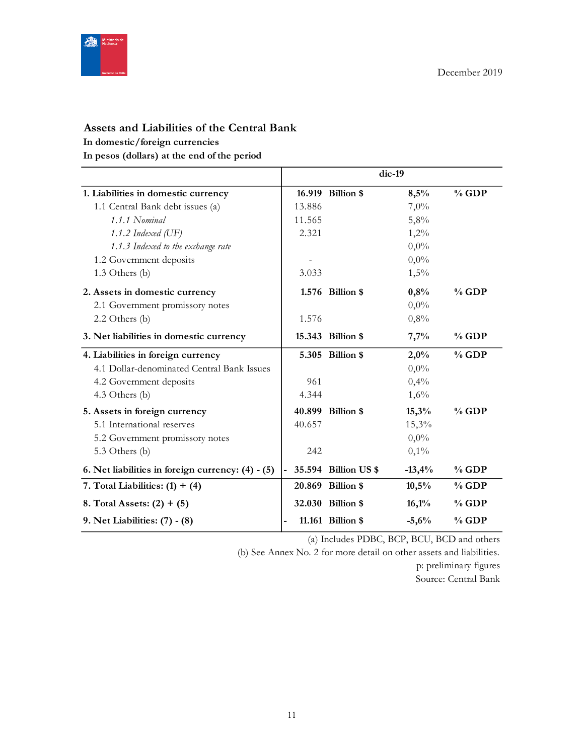

# **Assets and Liabilities of the Central Bank**

## **In domestic/foreign currencies**

**In pesos (dollars) at the end of the period**

|                                                   |        |                      | dic-19   |         |
|---------------------------------------------------|--------|----------------------|----------|---------|
| 1. Liabilities in domestic currency               |        | 16.919 Billion \$    | 8,5%     | $%$ GDP |
| 1.1 Central Bank debt issues (a)                  | 13.886 |                      | 7,0%     |         |
| 1.1.1 Nominal                                     | 11.565 |                      | 5,8%     |         |
| 1.1.2 Indexed $(\mathrm{UF})$                     | 2.321  |                      | 1,2%     |         |
| 1.1.3 Indexed to the exchange rate                |        |                      | $0,0\%$  |         |
| 1.2 Government deposits                           |        |                      | $0,0\%$  |         |
| 1.3 Others (b)                                    | 3.033  |                      | 1,5%     |         |
| 2. Assets in domestic currency                    |        | 1.576 Billion \$     | 0,8%     | $%$ GDP |
| 2.1 Government promissory notes                   |        |                      | $0,0\%$  |         |
| $2.2$ Others (b)                                  | 1.576  |                      | 0,8%     |         |
| 3. Net liabilities in domestic currency           |        | 15.343 Billion \$    | 7,7%     | $%$ GDP |
| 4. Liabilities in foreign currency                |        | 5.305 Billion \$     | 2,0%     | $%$ GDP |
| 4.1 Dollar-denominated Central Bank Issues        |        |                      | $0,0\%$  |         |
| 4.2 Government deposits                           | 961    |                      | 0,4%     |         |
| 4.3 Others (b)                                    | 4.344  |                      | 1,6%     |         |
| 5. Assets in foreign currency                     |        | 40.899 Billion \$    | 15,3%    | $%$ GDP |
| 5.1 International reserves                        | 40.657 |                      | 15,3%    |         |
| 5.2 Government promissory notes                   |        |                      | $0,0\%$  |         |
| 5.3 Others (b)                                    | 242    |                      | 0,1%     |         |
| 6. Net liabilities in foreign currency: (4) - (5) |        | 35.594 Billion US \$ | $-13,4%$ | $%$ GDP |
| 7. Total Liabilities: $(1) + (4)$                 |        | 20.869 Billion \$    | 10,5%    | $%$ GDP |
| 8. Total Assets: $(2) + (5)$                      |        | 32.030 Billion \$    | 16,1%    | $%$ GDP |
| 9. Net Liabilities: (7) - (8)                     |        | 11.161 Billion \$    | $-5,6%$  | $%$ GDP |

(a) Includes PDBC, BCP, BCU, BCD and others

(b) See Annex No. 2 for more detail on other assets and liabilities.

p: preliminary figures

Source: Central Bank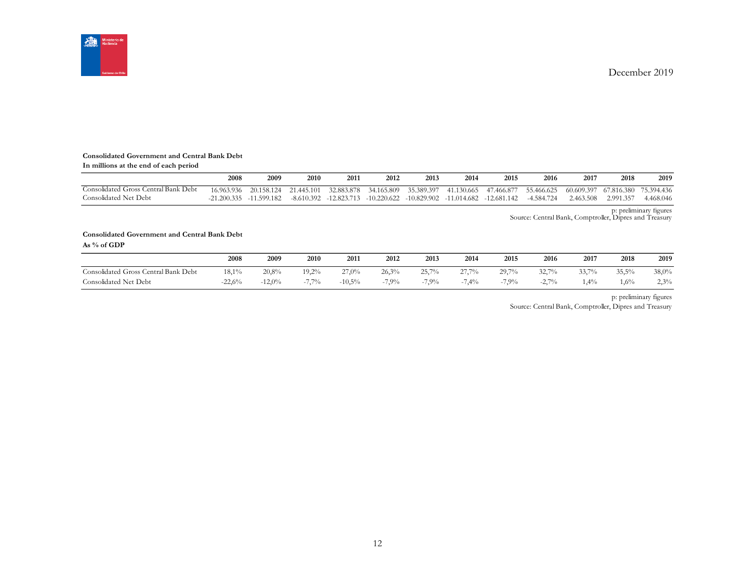

#### **Consolidated Government and Central Bank Debt**

| In millions at the end of each period |      |                         |      |      |      |      |                                                                                                                                     |      |      |           |           |           |
|---------------------------------------|------|-------------------------|------|------|------|------|-------------------------------------------------------------------------------------------------------------------------------------|------|------|-----------|-----------|-----------|
|                                       | 2008 | 2009                    | 2010 | 2011 | 2012 | 2013 | 2014                                                                                                                                | 2015 | 2016 | 2017      | 2018      | 2019      |
| Consolidated Gross Central Bank Debt  |      |                         |      |      |      |      | 16.963.936 20.158.124 21.445.101 32.883.878 34.165.809 35.389.397 41.130.665 47.466.877 55.466.625 60.609.397 67.816.380 75.394.436 |      |      |           |           |           |
| Consolidated Net Debt                 |      | -21.200.335 -11.599.182 |      |      |      |      | $-8.610.392$ $-12.823.713$ $-10.220.622$ $-10.829.902$ $-11.014.682$ $-12.681.142$ $-4.584.724$                                     |      |      | 2.463.508 | 2.991.357 | 4.468.046 |

p: preliminary figures Source: Central Bank, Comptroller, Dipres and Treasury

#### **Consolidated Government and Central Bank Debt As % of GDP**

|                                      | 2008     | 2009     | 2010                          | 2011     | 2012    | 2013     | 2014     | 2015     | 2016          | 2017  | 2018   | 2019  |
|--------------------------------------|----------|----------|-------------------------------|----------|---------|----------|----------|----------|---------------|-------|--------|-------|
| Consolidated Gross Central Bank Debt | 18,1%    | 20.8%    | $19.2\%$                      | 27,0%    | 26.3%   | $25.7\%$ | $27.7\%$ | $20.7\%$ | 3270%<br>ىمەت | 33.7% | 35,5%  | 38,0% |
| Consolidated Net Debt                | $-22.6%$ | $-12.0%$ | 7.70<br>$\frac{10}{2}$<br>- 1 | $-10,5%$ | $7.9\%$ | 7.9%     | 7,4%     | 7.9%     | 2.70%<br>ا -۷ | 1,4%  | $.6\%$ | 2,3%  |

p: preliminary figures

Source: Central Bank, Comptroller, Dipres and Treasury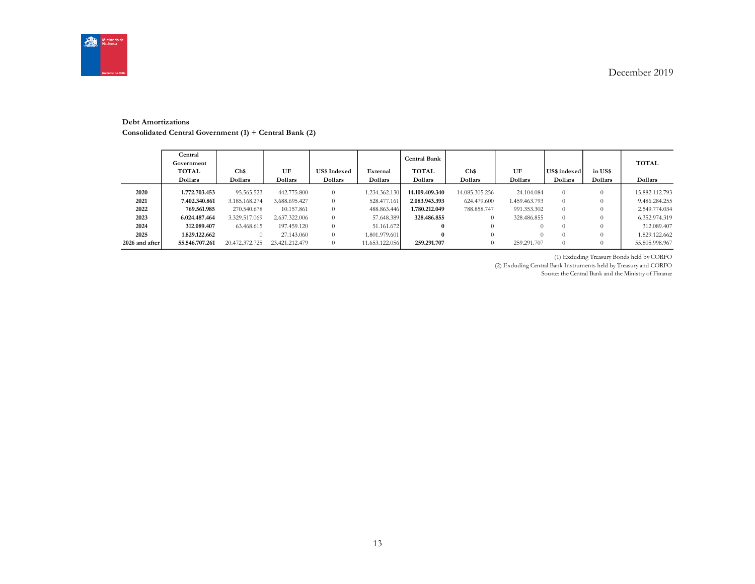

#### **Debt Amortizations**

**Consolidated Central Government (1) + Central Bank (2)**

|                | Central<br>Government<br><b>TOTAL</b><br>Dollars | Ch\$<br>Dollars | UF<br>Dollars  | <b>US\$ Indexed</b><br>Dollars | External<br>Dollars | <b>Central Bank</b><br><b>TOTAL</b><br>Dollars | Ch\$<br>Dollars | UF<br>Dollars | <b>US\$</b> indexed<br>Dollars | in US\$<br>Dollars | <b>TOTAL</b><br>Dollars |
|----------------|--------------------------------------------------|-----------------|----------------|--------------------------------|---------------------|------------------------------------------------|-----------------|---------------|--------------------------------|--------------------|-------------------------|
| 2020           | 1.772.703.453                                    | 95.565.523      | 442,775,800    | $\Omega$                       | 1.234.362.130       | 14.109.409.340                                 | 14.085.305.256  | 24.104.084    | 0                              |                    | 15.882.112.793          |
| 2021           | 7.402.340.861                                    | 3.185.168.274   | 3.688.695.427  | $\theta$                       | 528,477,161         | 2.083.943.393                                  | 624.479.600     | 1.459.463.793 | $\Omega$                       |                    | 9.486.284.255           |
| 2022           | 769.561.985                                      | 270.540.678     | 10.157.861     | $\Omega$                       | 488.863.446         | 1.780.212.049                                  | 788.858.747     | 991.353.302   | $\theta$                       |                    | 2.549.774.034           |
| 2023           | 6.024.487.464                                    | 3.329.517.069   | 2.637.322.006  | $\theta$                       | 57.648.389          | 328.486.855                                    | $\theta$        | 328,486,855   | $\Omega$                       |                    | 6.352.974.319           |
| 2024           | 312.089.407                                      | 63.468.615      | 197.459.120    | $\theta$                       | 51.161.672          | $\bf{0}$                                       | $\theta$        | $\Omega$      | $\Omega$                       |                    | 312,089,407             |
| 2025           | 1.829.122.662                                    |                 | 27.143.060     | $\theta$                       | 1.801.979.601       | $\bf{0}$                                       | $\Omega$        |               | $^{O}$                         |                    | 1.829.122.662           |
| 2026 and after | 55.546.707.261                                   | 20.472.372.725  | 23.421.212.479 | $\theta$                       | 11.653.122.056      | 259.291.707                                    | $\theta$        | 259.291.707   | $\Omega$                       |                    | 55.805.998.967          |

(1) Excluding Treasury Bonds held by CORFO

(2) Excluding Central Bank Instruments held by Treasury and CORFO

Source: the Central Bank and the Ministry of Finance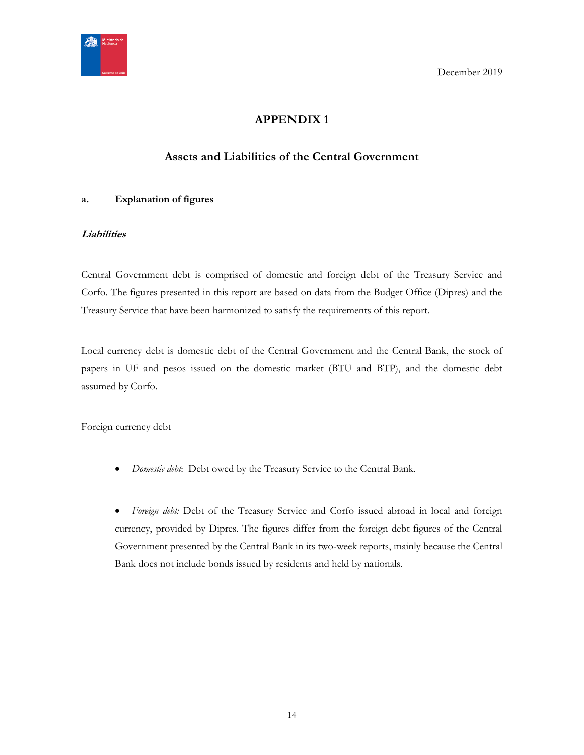<span id="page-13-0"></span>

# **APPENDIX 1**

# **Assets and Liabilities of the Central Government**

## <span id="page-13-1"></span>**a. Explanation of figures**

## **Liabilities**

Central Government debt is comprised of domestic and foreign debt of the Treasury Service and Corfo. The figures presented in this report are based on data from the Budget Office (Dipres) and the Treasury Service that have been harmonized to satisfy the requirements of this report.

Local currency debt is domestic debt of the Central Government and the Central Bank, the stock of papers in UF and pesos issued on the domestic market (BTU and BTP), and the domestic debt assumed by Corfo.

#### Foreign currency debt

*Domestic debt*: Debt owed by the Treasury Service to the Central Bank.

 *Foreign debt:* Debt of the Treasury Service and Corfo issued abroad in local and foreign currency, provided by Dipres. The figures differ from the foreign debt figures of the Central Government presented by the Central Bank in its two-week reports, mainly because the Central Bank does not include bonds issued by residents and held by nationals.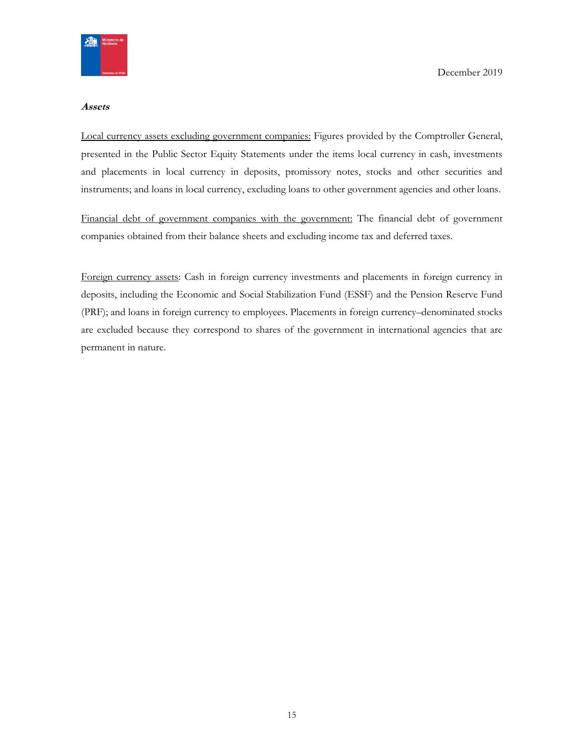

#### **Assets**

Local currency assets excluding government companies: Figures provided by the Comptroller General, presented in the Public Sector Equity Statements under the items local currency in cash, investments and placements in local currency in deposits, promissory notes, stocks and other securities and instruments; and loans in local currency, excluding loans to other government agencies and other loans.

Financial debt of government companies with the government: The financial debt of government companies obtained from their balance sheets and excluding income tax and deferred taxes.

Foreign currency assets: Cash in foreign currency investments and placements in foreign currency in deposits, including the Economic and Social Stabilization Fund (ESSF) and the Pension Reserve Fund (PRF); and loans in foreign currency to employees. Placements in foreign currency–denominated stocks are excluded because they correspond to shares of the government in international agencies that are permanent in nature.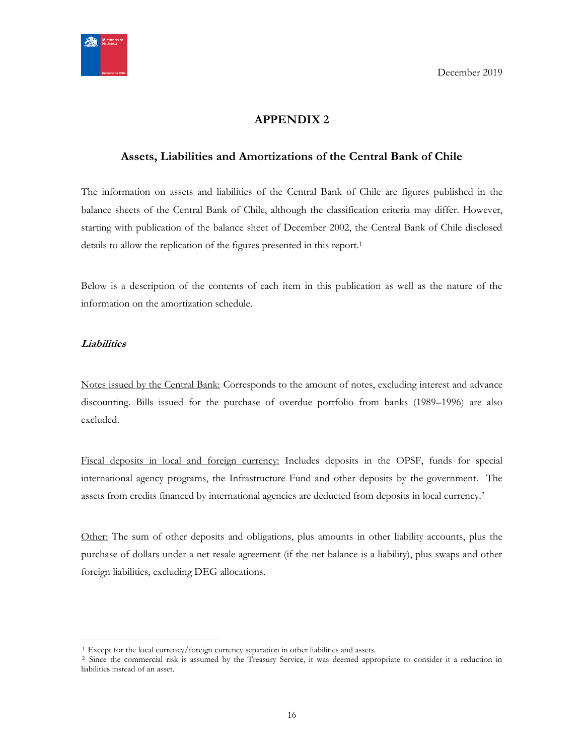

# **APPENDIX 2**

## <span id="page-15-1"></span><span id="page-15-0"></span>**Assets, Liabilities and Amortizations of the Central Bank of Chile**

The information on assets and liabilities of the Central Bank of Chile are figures published in the balance sheets of the Central Bank of Chile, although the classification criteria may differ. However, starting with publication of the balance sheet of December 2002, the Central Bank of Chile disclosed details to allow the replication of the figures presented in this report.<sup>1</sup>

Below is a description of the contents of each item in this publication as well as the nature of the information on the amortization schedule.

#### **Liabilities**

 $\overline{a}$ 

Notes issued by the Central Bank: Corresponds to the amount of notes, excluding interest and advance discounting. Bills issued for the purchase of overdue portfolio from banks (1989–1996) are also excluded.

Fiscal deposits in local and foreign currency: Includes deposits in the OPSF, funds for special international agency programs, the Infrastructure Fund and other deposits by the government. The assets from credits financed by international agencies are deducted from deposits in local currency.<sup>2</sup>

Other: The sum of other deposits and obligations, plus amounts in other liability accounts, plus the purchase of dollars under a net resale agreement (if the net balance is a liability), plus swaps and other foreign liabilities, excluding DEG allocations.

<sup>&</sup>lt;sup>1</sup>. Except for the local currency/foreign currency separation in other liabilities and assets.

<sup>&</sup>lt;sup>2</sup> Since the commercial risk is assumed by the Treasury Service, it was deemed appropriate to consider it a reduction in liabilities instead of an asset.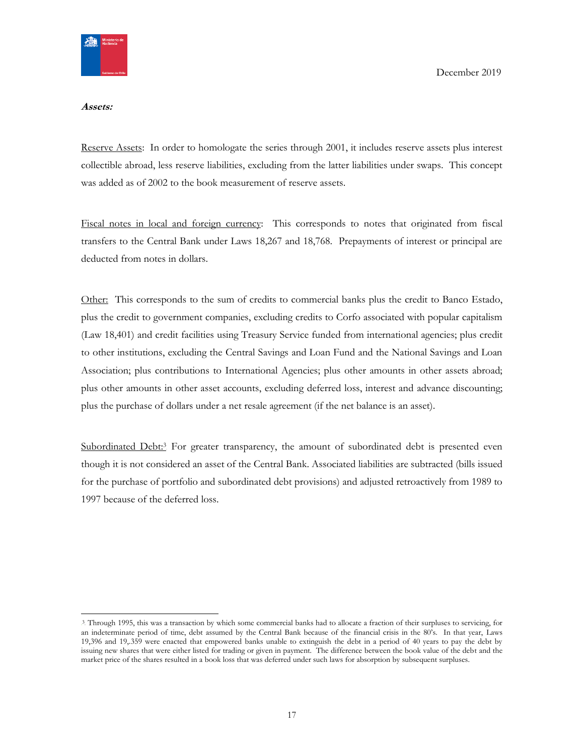

#### **Assets:**

Reserve Assets: In order to homologate the series through 2001, it includes reserve assets plus interest collectible abroad, less reserve liabilities, excluding from the latter liabilities under swaps. This concept was added as of 2002 to the book measurement of reserve assets.

Fiscal notes in local and foreign currency: This corresponds to notes that originated from fiscal transfers to the Central Bank under Laws 18,267 and 18,768. Prepayments of interest or principal are deducted from notes in dollars.

Other: This corresponds to the sum of credits to commercial banks plus the credit to Banco Estado, plus the credit to government companies, excluding credits to Corfo associated with popular capitalism (Law 18,401) and credit facilities using Treasury Service funded from international agencies; plus credit to other institutions, excluding the Central Savings and Loan Fund and the National Savings and Loan Association; plus contributions to International Agencies; plus other amounts in other assets abroad; plus other amounts in other asset accounts, excluding deferred loss, interest and advance discounting; plus the purchase of dollars under a net resale agreement (if the net balance is an asset).

Subordinated Debt:<sup>3</sup> For greater transparency, the amount of subordinated debt is presented even though it is not considered an asset of the Central Bank. Associated liabilities are subtracted (bills issued for the purchase of portfolio and subordinated debt provisions) and adjusted retroactively from 1989 to 1997 because of the deferred loss.

<sup>3</sup> Through 1995, this was a transaction by which some commercial banks had to allocate a fraction of their surpluses to servicing, for an indeterminate period of time, debt assumed by the Central Bank because of the financial crisis in the 80's. In that year, Laws 19,396 and 19,.359 were enacted that empowered banks unable to extinguish the debt in a period of 40 years to pay the debt by issuing new shares that were either listed for trading or given in payment. The difference between the book value of the debt and the market price of the shares resulted in a book loss that was deferred under such laws for absorption by subsequent surpluses.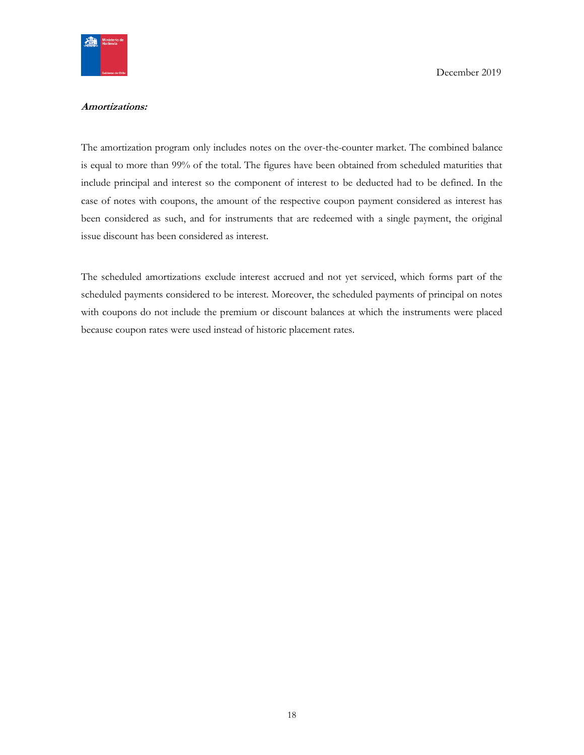

#### **Amortizations:**

The amortization program only includes notes on the over-the-counter market. The combined balance is equal to more than 99% of the total. The figures have been obtained from scheduled maturities that include principal and interest so the component of interest to be deducted had to be defined. In the case of notes with coupons, the amount of the respective coupon payment considered as interest has been considered as such, and for instruments that are redeemed with a single payment, the original issue discount has been considered as interest.

The scheduled amortizations exclude interest accrued and not yet serviced, which forms part of the scheduled payments considered to be interest. Moreover, the scheduled payments of principal on notes with coupons do not include the premium or discount balances at which the instruments were placed because coupon rates were used instead of historic placement rates.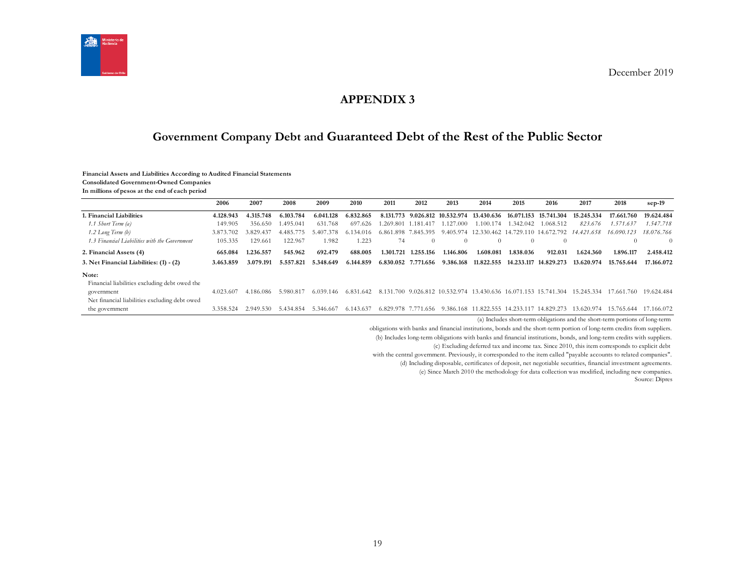

## **APPENDIX 3**

# **Government Company Debt and Guaranteed Debt of the Rest of the Public Sector**

#### **Financial Assets and Liabilities According to Audited Financial Statements**

**Consolidated Government-Owned Companies**

**In millions of pesos at the end of each period**

<span id="page-18-1"></span><span id="page-18-0"></span>

|                                               | 2006      | 2007      | 2008      | 2009      | 2010          | 2011                | 2012                | 2013      | 2014                                                        | 2015             | 2016                                       | 2017       | 2018       | $sep-19$   |
|-----------------------------------------------|-----------|-----------|-----------|-----------|---------------|---------------------|---------------------|-----------|-------------------------------------------------------------|------------------|--------------------------------------------|------------|------------|------------|
| . Financial Liabilities                       | 4.128.943 | 4.315.748 | 6.103.784 | 6.041.128 | 6.832.865     |                     |                     |           | 8.131.773 9.026.812 10.532.974 13.430.636                   |                  | 16.071.153 15.741.304                      | 15.245.334 | 17.661.760 | 19.624.484 |
| 1.1 Short Term (a)                            | 149.905   | 356.650   | 1.495.041 | 631.768   | 697.626       |                     | 1.269.801 1.181.417 | 1.127.000 | 1.100.174                                                   | 1.342.042        | 1.068.512                                  | 823.676    | 1.571.637  | 1.547.718  |
| 1.2 Long Term (b)                             | 3.873.702 | 3.829.437 | 4.485.    | 407       | 6 1 3 4 0 1 6 |                     | 6.861.898 7.845.395 |           |                                                             |                  | 9.405.974 12.330.462 14.729.110 14.672.792 | 14.421.658 | 16.090.123 | 18.076.766 |
| 1.3 Financial Liabilities with the Government | 105.335   | 129.661   | 122.967   | 1.982     | 1.223         | 74                  | $\Omega$            | $\theta$  | $\Omega$                                                    | $\left( \right)$ | $\Omega$                                   |            |            | $\Omega$   |
| 2. Financial Assets (4)                       | 665.084   | 1.236.557 | 545.962   | 692.479   | 688.005       | 1.301.721           | 1.255.156           | 1.146.806 | 1.608.081                                                   | 1.838.036        | 912.031                                    | 1.624.360  | 1.896.117  | 2.458.412  |
| 3. Net Financial Liabilities: (1) - (2)       | 3.463.859 | 3.079.191 | 5.557.821 | 5.348.649 | 6.144.859     | 6.830.052 7.771.656 |                     | 9.386.168 | 11.822.555                                                  |                  | 14.233.117 14.829.273                      | 13.620.974 | 15.765.644 | 17.166.072 |
| Note:                                         |           |           |           |           |               |                     |                     |           |                                                             |                  |                                            |            |            |            |
| Financial liabilities excluding debt owed the |           |           |           |           |               |                     |                     |           |                                                             |                  |                                            |            |            |            |
| government                                    | 4.023.607 | 4.186.086 | 5.980.817 | 6.039.146 | 6.831.642     |                     |                     |           | 8.131.700 9.026.812 10.532.974 13.430.636 16.071.153 15.741 |                  | .304                                       | 15.245.334 | 17.661.760 | 19.624.484 |
| Net financial liabilities excluding debt owed |           |           |           |           |               |                     |                     |           |                                                             |                  |                                            |            |            |            |
| the government                                | 3.358.524 | 2.949.530 | 5.434.854 | 5.346.667 | 6.143.637     | 6.829.978 7.77      | '1.656              |           | 9.386.168 11.822.555 14.233.117 14.829.273                  |                  |                                            | 13.620.974 | 15.765.644 | 17.166.072 |

(a) Includes short-term obligations and the short-term portions of long-term

obligations with banks and financial institutions, bonds and the short-term portion of long-term credits from suppliers.

(b) Includes long-term obligations with banks and financial institutions, bonds, and long-term credits with suppliers.

(c) Excluding deferred tax and income tax. Since 2010, this item corresponds to explicit debt

with the central government. Previously, it corresponded to the item called "payable accounts to related companies".

(d) Including disposable, certificates of deposit, net negotiable securities, financial investment agreements.

(e) Since March 2010 the methodology for data collection was modified, including new companies.

Source: Dipres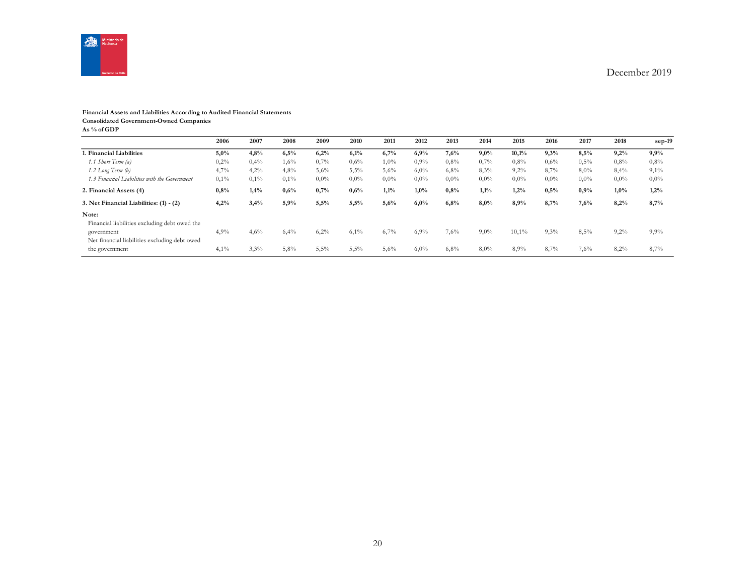

#### **Financial Assets and Liabilities According to Audited Financial Statements Consolidated Government-Owned Companies**

**As % of GDP**

|                                                             | 2006    | 2007    | 2008 | 2009    | 2010    | 2011    | 2012    | 2013    | 2014    | 2015    | 2016    | 2017    | 2018    | $sep-19$ |
|-------------------------------------------------------------|---------|---------|------|---------|---------|---------|---------|---------|---------|---------|---------|---------|---------|----------|
| 1. Financial Liabilities                                    | 5,0%    | 4,8%    | 6,5% | 6,2%    | 6,1%    | 6,7%    | 6,9%    | 7,6%    | 9,0%    | 10,1%   | 9,3%    | 8,5%    | 9,2%    | 9,9%     |
| 1.1 Short Term (a)                                          | 0,2%    | 0,4%    | 1,6% | 0,7%    | 0,6%    | $1,0\%$ | $0.9\%$ | 0.8%    | 0,7%    | 0.8%    | $0.6\%$ | 0,5%    | 0,8%    | 0,8%     |
| $1.2$ Long Term $(b)$                                       | 4,7%    | 4,2%    | 4,8% | 5,6%    | 5,5%    | 5,6%    | 6,0%    | 6,8%    | 8,3%    | 9,2%    | 8.7%    | 8,0%    | 8,4%    | 9,1%     |
| 1.3 Financial Liabilities with the Government               | 0,1%    | $0.1\%$ | 0,1% | $0.0\%$ | $0,0\%$ | $0.0\%$ | $0.0\%$ | $0.0\%$ | $0.0\%$ | $0.0\%$ | $0.0\%$ | $0.0\%$ | 0,0%    | $0,0\%$  |
| 2. Financial Assets (4)                                     | $0.8\%$ | 1,4%    | 0,6% | 0,7%    | 0,6%    | 1,1%    | $1,0\%$ | 0,8%    | 1,1%    | 1,2%    | 0,5%    | 0,9%    | 1,0%    | 1,2%     |
| 3. Net Financial Liabilities: (1) - (2)                     | 4,2%    | 3,4%    | 5,9% | 5,5%    | 5,5%    | 5,6%    | 6,0%    | 6,8%    | 8,0%    | 8,9%    | 8,7%    | 7,6%    | 8,2%    | 8,7%     |
| Note:<br>Financial liabilities excluding debt owed the      |         |         |      |         |         |         |         |         |         |         |         |         |         |          |
| government<br>Net financial liabilities excluding debt owed | 4,9%    | 4,6%    | 6,4% | 6,2%    | $6,1\%$ | 6,7%    | 6,9%    | 7,6%    | $9,0\%$ | 10,1%   | 9,3%    | 8,5%    | $9,2\%$ | 9,9%     |
| the government                                              | 4,1%    | 3,3%    | 5,8% | 5,5%    | 5,5%    | 5,6%    | 6,0%    | 6,8%    | 8,0%    | 8,9%    | 8,7%    | 7,6%    | 8,2%    | 8,7%     |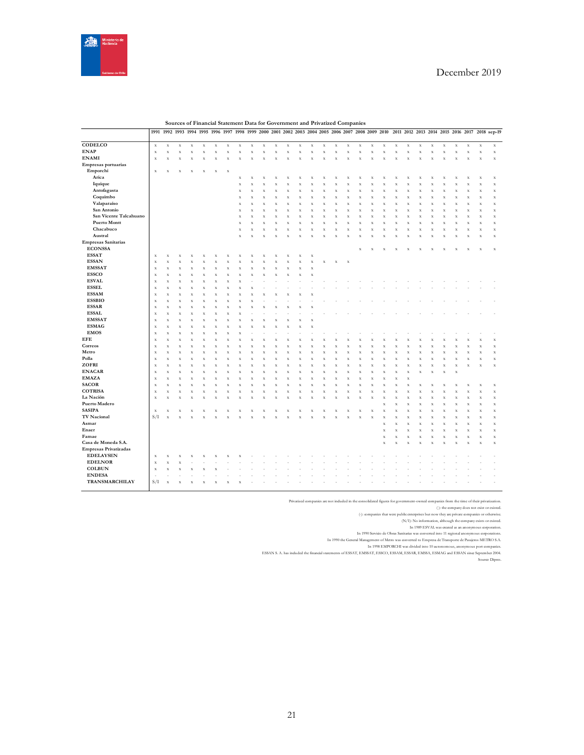

|                              | 1991                       | 1992         | 1993               | 1994                      | 1995               | 1996               | 1997        | 1998 1999               |                    |                         |             | 2000 2001 2002 2003       |                    |                      | 2004 2005 2006 2007 2008 2009 2010 |                         |                    |                         |             |             |                    |             |                    |                         |                    |                         |             |                            | 2011 2012 2013 2014 2015 2016 2017 2018 sep-19 |
|------------------------------|----------------------------|--------------|--------------------|---------------------------|--------------------|--------------------|-------------|-------------------------|--------------------|-------------------------|-------------|---------------------------|--------------------|----------------------|------------------------------------|-------------------------|--------------------|-------------------------|-------------|-------------|--------------------|-------------|--------------------|-------------------------|--------------------|-------------------------|-------------|----------------------------|------------------------------------------------|
| CODELCO                      | $\mathbf x$                | $\mathbf X$  | $\mathbf X$        | $\mathbf x$               | $\mathbf x$        | $\mathbf x$        | $\mathbf X$ | $\mathbf x$             | $\bf x$            | $\mathbf x$             | $\mathbf x$ | $\mathbf x$               | $\mathbf x$        | $\mathbf x$          | $\mathbf x$                        | $\mathbf x$             | $\bf x$            | $\bf x$                 | $\mathbf x$ | $\mathbf x$ | $\mathbf x$        | $\mathbf X$ | $\mathbf x$        | $\mathbf x$             | $\mathbf x$        | $\mathbf x$             | $\mathbf x$ | $\mathbf x$                | $\mathbf x$                                    |
| <b>ENAP</b>                  | $\mathbf x$                | X            | $\bar{x}$          | $\mathbf x$               | $\bar{X}$          | $\mathbf x$        | $\mathbf X$ | $\mathbf x$             | $\bf x$            | $\overline{\mathbf{x}}$ | x           | X                         | $\bf x$            | $\mathbf x$          | $\bf{X}$                           | $\mathbf x$             | $\bf x$            | $\overline{\mathbf{x}}$ | X           | $\bf x$     | $\bf x$            | X           | $\mathbf x$        | $\mathbf x$             | $\bf x$            | $\overline{\mathbf{x}}$ | X           | $\mathbf x$                | $\mathbf x$                                    |
| <b>ENAMI</b>                 | $\mathbf x$                | X            | $\bar{\mathbf{x}}$ | $\bar{X}$                 | $\bar{x}$          | $\bar{x}$          | $\bar{x}$   | $\bar{X}$               | $\bar{x}$          | $\overline{\mathbf{x}}$ | X           | $\bar{X}$                 | $\bar{x}$          | $\bar{x}$            | $\bar{x}$                          | $\mathbf x$             | $\bar{x}$          |                         | x           | $\bar{X}$   | x                  | $\bar{x}$   | $\bar{x}$          | $\mathbf X$             | $\bar{X}$          |                         | x           | $\mathbf X$                | $\mathbf x$                                    |
| Empresas portuarias          |                            |              |                    |                           |                    |                    |             |                         |                    |                         |             |                           |                    |                      |                                    |                         |                    |                         |             |             |                    |             |                    |                         |                    |                         |             |                            |                                                |
| Emporchi                     | $\mathbf x$                | X            | X                  | $\bf{X}$                  | $\bf{X}$           | $\mathbf x$        | $\mathbf x$ |                         |                    |                         |             |                           |                    |                      |                                    |                         |                    |                         |             |             |                    |             |                    |                         |                    |                         |             |                            |                                                |
| Arica                        |                            |              |                    |                           |                    |                    |             | $\mathbf x$             | $\bar{x}$          |                         | X           | X                         | X                  | X                    | $\bar{X}$                          | $\mathbf x$             | X                  |                         | X           | X           | X                  | x           | $\bar{X}$          | X                       | $\bf x$            |                         | X           | $\bf x$                    | $\mathbf x$                                    |
| Iquique                      |                            |              |                    |                           |                    |                    |             | $\mathbf x$             | X                  | $\bf x$                 | Χ           | $\boldsymbol{\mathrm{x}}$ | X                  | $\mathbf x$          | $\bf{X}$                           | $\mathbf x$             | X                  | $\overline{\mathbf{x}}$ | x           | $\bf x$     | X                  | X           | $\bf{X}$           | $\mathbf x$             | X                  |                         | X           | $\mathbf x$                | $\mathbf x$                                    |
| Antofagasta                  |                            |              |                    |                           |                    |                    |             | $\mathbf x$             | $\bar{x}$          | $\bf x$                 | X           | $\bf x$                   | $\bar{x}$          | X                    | $\bar{x}$                          | $\mathbf X$             | $\bar{x}$          | $\overline{\mathbf{x}}$ | x           | $\bar{X}$   | $\bar{x}$          | x           | $\bar{x}$          | $\mathbf X$             | $\bar{x}$          | x                       | x           | $\mathbf X$                | $\mathbf x$                                    |
| Coquimbo                     |                            |              |                    |                           |                    |                    |             | $\mathbf x$             | X                  | x                       | X           | $\bf x$                   | X                  | $\bf x$              | $\bar{X}$                          | $\bar{x}$               | X                  |                         | X           | $\bf x$     | X                  | x           | $\bar{x}$          | $\bar{\mathbf{x}}$      | $\bar{X}$          |                         | X           | $\mathbf x$                | $\bar{\mathbf{x}}$                             |
| Valaparaíso                  |                            |              |                    |                           |                    |                    |             | $\mathbf x$             | $\bar{\mathbf{x}}$ | $\bar{X}$               | X           | $\bar{X}$                 | $\bar{x}$          | $\bar{X}$            | $\bar{\mathbf{x}}$                 | $\bar{\mathbf{x}}$      | $\bar{\mathbf{x}}$ |                         | x           | $\bar{X}$   | x                  | $\bar{x}$   | X                  | $\mathbf x$             | $\bar{\mathbf{x}}$ |                         | x           | $\mathbf x$                | $\mathbf x$                                    |
| San Antonio                  |                            |              |                    |                           |                    |                    |             | X                       | X                  | $\overline{\mathbf{x}}$ | X           | $\bf x$                   | X                  | X                    | $\bar{x}$                          | $\mathbf x$             | $\bf x$            | $\overline{\mathbf{x}}$ | X           | $\bf x$     | X                  | x           | $\bar{X}$          | $\mathbf x$             | $\bar{X}$          | $\overline{\mathbf{x}}$ | X           | $\mathbf x$                | $\mathbf x$                                    |
| San Vicente Talcahuano       |                            |              |                    |                           |                    |                    |             | $\mathbf x$             | $\bar{x}$          | x                       | X           | $\bf x$                   | $\bar{x}$          | $\bf x$              | $\bar{X}$                          | $\mathbf x$             | $\bar{x}$          | X                       | X           | $\bf x$     | $\bar{x}$          | X           | $\bar{X}$          | $\mathbf x$             | $\bar{X}$          | X                       | X           | $\mathbf x$                | $\mathbf x$                                    |
| <b>Puerto Montt</b>          |                            |              |                    |                           |                    |                    |             | $\mathbf x$             | $\bf x$            | $\overline{\mathbf{x}}$ | X           | $\bf x$                   | X                  | $\bf x$              | $\bf{X}$                           | $\mathbf x$             | $\bf x$            | $\overline{\mathbf{x}}$ | X           | $\bf x$     |                    | X           | $\bf{X}$           | $\mathbf x$             | $\bf x$            | $\overline{\mathbf{x}}$ | X           |                            | $\mathbf x$                                    |
| Chacabuco                    |                            |              |                    |                           |                    |                    |             | $\mathbf x$             | $\bar{x}$          | $\bar{X}$               | X           | $\bar{X}$                 | $\bar{x}$          | $\bar{X}$            | $\bar{x}$                          | $\mathbf X$             | $\bar{x}$          |                         | x           | $\bar{X}$   | X<br>$\bar{x}$     | $\bar{x}$   | $\bar{x}$          | $\mathbf X$             | $\bar{x}$          |                         | x           | $\mathbf x$<br>$\mathbf X$ | $\mathbf x$                                    |
| Austral                      |                            |              |                    |                           |                    |                    |             | $\mathbf x$             | $\bar{X}$          | $\overline{\mathbf{x}}$ | x           | $\bf x$                   | $\bar{x}$          | X                    | $\bar{x}$                          |                         | $\bar{x}$          | X                       |             |             |                    |             |                    |                         |                    | X                       |             | $\mathbf X$                | $\mathbf x$                                    |
| <b>Empresas Sanitarias</b>   |                            |              |                    |                           |                    |                    |             |                         |                    |                         |             |                           |                    |                      |                                    | $\mathbf x$             |                    |                         | x           | $\bf{X}$    | $\bar{\mathbf{x}}$ | X           | $\bf x$            | $\mathbf x$             | $\bf x$            | X                       | X           |                            |                                                |
| <b>ECONSSA</b>               |                            |              |                    |                           |                    |                    |             |                         |                    |                         |             |                           |                    |                      |                                    |                         |                    | $\overline{\mathbf{x}}$ | x           | x           | x                  | x           | X                  | x                       | ×                  |                         | x           | $\bf x$                    | $\mathbf x$                                    |
| <b>ESSAT</b>                 |                            |              |                    |                           |                    |                    |             |                         |                    |                         |             |                           |                    |                      |                                    |                         |                    |                         |             |             |                    |             |                    |                         |                    |                         |             |                            |                                                |
| <b>ESSAN</b>                 | $\mathbf x$<br>$\mathbf x$ | X<br>$\bf x$ | X<br>$\bar{x}$     | $\bar{X}$                 | $\bar{x}$          |                    | $\bar{x}$   | $\bar{X}$               | $\bar{x}$          |                         |             |                           | x<br>$\bar{x}$     | $\bf x$<br>$\bar{X}$ | $\bar{x}$                          | $\mathbf X$             | $\mathbf x$        |                         |             |             |                    |             |                    |                         |                    |                         |             |                            |                                                |
| <b>EMSSAT</b>                |                            |              |                    |                           |                    | x                  |             |                         |                    |                         | X           | $\bf x$                   |                    |                      |                                    |                         |                    |                         |             |             |                    |             |                    |                         |                    |                         |             |                            |                                                |
| <b>ESSCO</b>                 | $\mathbf x$                | $\bar{x}$    | $\bar{\mathbf{x}}$ | $\bf{X}$                  | $\bar{x}$          | X                  | $\bar{x}$   | $\bf{X}$                | $\bar{\mathbf{x}}$ |                         | X           | $\bf{X}$                  | $\bar{\mathbf{x}}$ | $\bar{X}$            |                                    |                         |                    |                         |             |             |                    |             |                    |                         |                    |                         |             |                            |                                                |
|                              | $\mathbf x$                | $\bf x$      | $\bar{\mathbf{x}}$ | $\bf x$                   | X                  | X                  | $\bar{x}$   | $\mathbf x$             | $\bar{X}$          | $\overline{\mathbf{x}}$ | X           | $\bar{X}$                 | $\bar{X}$          | $\bar{X}$            |                                    |                         |                    |                         |             |             |                    |             |                    |                         |                    |                         |             |                            |                                                |
| <b>ESVAL</b>                 | $\mathbf x$                | X            | X                  | $\bf x$                   | X                  |                    | $\bar{x}$   | $\bar{X}$               |                    |                         |             |                           |                    |                      |                                    |                         |                    |                         |             |             |                    |             |                    |                         |                    |                         |             |                            |                                                |
| <b>ESSEL</b>                 | $\mathbf X$                | $\bf x$      | X                  | $\bf x$                   | X                  | x                  | $\bar{x}$   | $\bar{\mathbf{x}}$      | x                  |                         |             |                           |                    |                      |                                    |                         |                    |                         |             |             |                    |             |                    |                         |                    |                         |             |                            |                                                |
| <b>ESSAM</b>                 | $\mathbf x$                | $\bar{x}$    | $\bar{\mathbf{x}}$ | $\bf x$                   | $\bar{x}$          |                    | $\bar{x}$   | $\bar{X}$               | $\bar{x}$          |                         |             |                           |                    |                      |                                    |                         |                    |                         |             |             |                    |             |                    |                         |                    |                         |             |                            |                                                |
| <b>ESSBIO</b>                | $\mathbf x$                | X            | $\bar{\mathbf{x}}$ | $\bf x$                   | $\bar{x}$          | x                  | $\bar{x}$   | $\bar{X}$               | X                  |                         |             |                           |                    |                      |                                    |                         |                    |                         |             |             |                    |             |                    |                         |                    |                         |             |                            |                                                |
| <b>ESSAR</b>                 | $\mathbf x$                | $\mathbf x$  | X                  | $\boldsymbol{\mathrm{x}}$ | X                  | $\bf x$            | $\mathbf X$ | $\mathbf x$             | X                  |                         | X           | $\bf x$                   | X                  |                      |                                    |                         |                    |                         |             |             |                    |             |                    |                         |                    |                         |             |                            |                                                |
| <b>ESSAL</b>                 | $\mathbf X$                | $\bf x$      | $\bar{\mathbf{x}}$ | $\bf x$                   | $\bar{x}$          | x                  | $\bar{x}$   | $\bar{X}$               |                    |                         |             |                           |                    |                      |                                    |                         |                    |                         |             |             |                    |             |                    |                         |                    |                         |             |                            |                                                |
| <b>EMSSAT</b>                | $\mathbf x$                | $\bf x$      | X                  | $\bf x$                   | X                  | $\bf x$            | $\bar{x}$   | $\bf x$                 | X                  |                         | X           | x                         | X                  |                      |                                    |                         |                    |                         |             |             |                    |             |                    |                         |                    |                         |             |                            |                                                |
| <b>ESMAG</b>                 | $\mathbf X$                | $\bar{x}$    | $\bar{\mathbf{x}}$ | $\bar{X}$                 | $\bar{\mathbf{x}}$ | $\bar{\mathbf{x}}$ | $\bar{x}$   | $\bf{X}$                | $\bar{x}$          |                         | X           | $\bar{X}$                 | $\bar{x}$          |                      |                                    |                         |                    |                         |             |             |                    |             |                    |                         |                    |                         |             |                            |                                                |
| <b>EMOS</b>                  | $\mathbf x$                | $\bar{x}$    | $\bar{x}$          | $\bar{X}$                 | $\bar{x}$          | X                  | $\bar{x}$   | $\bar{X}$               |                    |                         |             |                           |                    |                      |                                    |                         |                    |                         |             |             |                    |             |                    |                         |                    |                         |             |                            |                                                |
| <b>EFE</b>                   | $\mathbf x$                | X            | X                  | $\bf x$                   | X                  |                    | $\bar{x}$   | $\bf x$                 | X                  |                         |             |                           |                    |                      | X                                  |                         |                    |                         |             |             |                    |             | $\bar{x}$          | X                       | X                  |                         |             | X                          | $\overline{\mathbf{x}}$                        |
| Correos                      | $\mathbf x$                | X            | X                  | $\bf x$                   | X                  | $\bf x$            | X           | X                       | X                  |                         | X           | $\bf x$                   | X                  | X                    | X                                  | $\bar{x}$               | X                  | $\overline{\mathbf{x}}$ | x           | $\bf x$     | X                  | X           | $\bf x$            | $\mathbf X$             | X                  |                         | X           | $\mathbf x$                | $\mathbf x$                                    |
| Metro                        | $\mathbf X$                | $\bar{x}$    | $\bar{\mathbf{x}}$ | $\bar{x}$                 | $\bar{x}$          | $\bar{\mathbf{x}}$ | $\bar{x}$   | $\bar{X}$               | $\bar{x}$          |                         | X           | $\bar{x}$                 | $\bar{x}$          | $\bf x$              | $\bar{x}$                          | $\bar{x}$               | $\bar{x}$          |                         | x           | $\bar{x}$   | x                  | X           | $\bar{x}$          | $\mathbf X$             | $\bar{x}$          | $\overline{\mathbf{x}}$ | x           | $\mathbf x$                | $\mathbf X$                                    |
| Polla                        | $\mathbf X$                | X            | X                  | $\bf x$                   | $\bar{x}$          | $\bf x$            | $\bar{x}$   | $\mathbf x$             | $\bar{X}$          | X                       | X           | $\bf x$                   | $\bar{X}$          | $\mathbf x$          | $\bar{x}$                          | $\mathbf x$             | $\bar{X}$          | x                       | X           | $\bar{X}$   | $\bar{x}$          | X           | $\bar{X}$          | $\mathbf x$             | $\bar{X}$          | X                       | X           | $\mathbf X$                | $\mathbf x$                                    |
| ZOFRI                        | $\mathbf x$                | $\bar{X}$    | $\bar{\mathbf{x}}$ | $\bar{X}$                 | $\bar{\mathbf{x}}$ | $\bf x$            | $\bar{x}$   | $\bar{X}$               | $\bar{\mathbf{x}}$ | X                       | X           | $\bar{X}$                 | $\bar{\mathbf{x}}$ | $\bf x$              | $\bar{\mathbf{x}}$                 | $\bar{\mathbf{x}}$      | $\bar{\mathbf{x}}$ |                         | x           | $\bar{X}$   | X                  |             | $\bar{x}$          | $\bar{\mathbf{x}}$      | $\bar{\mathbf{x}}$ | X                       | x           | $\bf x$                    | $\mathbf x$                                    |
| <b>ENACAR</b>                | $\boldsymbol{\mathrm{X}}$  | $\bf x$      | X                  | $\bf x$                   | X                  | X                  | $\bar{x}$   | $\overline{\mathbf{x}}$ | X                  |                         | x           | $\bf x$                   | X                  | X                    | $\bar{X}$                          | $\mathbf x$             | X                  |                         | X           | $\bf x$     | x                  | x           | $\bar{X}$          | $\bar{\mathbf{x}}$      | $\bf x$            | $\bf x$                 |             |                            |                                                |
| <b>EMAZA</b>                 | $\mathbf x$                | X            | $\bar{\mathbf{x}}$ | $\bar{X}$                 | $\bar{x}$          | $\bar{x}$          | $\bar{x}$   | $\bar{X}$               | $\bar{x}$          |                         | X           | $\bf x$                   | $\bar{x}$          | $\bar{x}$            | $\bar{x}$                          | $\mathbf x$             | $\bar{x}$          |                         | x           | $\bar{X}$   | x                  | $\bar{x}$   |                    |                         |                    |                         |             |                            |                                                |
| <b>SACOR</b>                 | $\bf x$                    | $\bf x$      | $\bar{\mathbf{x}}$ | $\bf x$                   | $\bar{x}$          | $\bf x$            | $\bar{x}$   | $\bar{x}$               | $\bar{X}$          | X                       | X           | $\bf x$                   | $\bar{x}$          | $\bf x$              | $\bar{x}$                          | $\bar{\mathbf{x}}$      | $\bar{x}$          | X                       | x           | $\bar{X}$   | $\bar{x}$          | x           | $\bar{x}$          | $\bf x$                 | $\bar{X}$          | X                       | x           | $\mathbf x$                | $\mathbf x$                                    |
| <b>COTRISA</b>               | $\mathbf x$                | $\bar{x}$    | $\bar{\mathbf{x}}$ | $\bf{X}$                  | $\bar{\mathbf{x}}$ | $\bf x$            | $\bar{x}$   | $\bf{X}$                | $\bar{\mathbf{x}}$ |                         | X           | $\bf{X}$                  | $\bar{\mathbf{x}}$ | $\bf x$              | $\bar{\mathbf{x}}$                 | $\overline{\mathbf{x}}$ | $\bar{\mathbf{x}}$ |                         | x           | $\bf x$     | X                  |             | $\bar{\mathbf{x}}$ | $\overline{\mathbf{x}}$ | $\bar{\mathbf{x}}$ |                         |             | $\mathbf X$                | $\mathbf x$                                    |
| La Nación                    | $\mathbf x$                | X            | X                  | $\bf x$                   | X                  | x                  | $\bar{x}$   | $\bf x$                 | X                  |                         | X           | $\bf x$                   | X                  | X                    | $\bar{x}$                          | $\bar{x}$               | X                  |                         | x           | $\bf x$     | $\bar{X}$          | X           | $\bar{X}$          | $\mathbf x$             | $\bar{X}$          | $\overline{\mathbf{x}}$ | X           | $\mathbf x$                | $\mathbf X$                                    |
| Puerto Madero                |                            |              |                    |                           |                    |                    |             |                         |                    |                         |             |                           |                    |                      |                                    |                         |                    |                         |             | $\bf x$     | x                  | X           | $\bar{\mathbf{x}}$ | $\overline{\mathbf{x}}$ | $\bar{x}$          |                         | X           | $\mathbf x$                | $\overline{\mathbf{x}}$                        |
| <b>SASIPA</b>                | $\mathbf x$                | X            | х                  | X                         | X                  | x                  | X           | X                       | X                  |                         | х           | X                         | X                  | x                    | X                                  | х                       | X                  | x                       | X           | $\bf x$     | $\bar{x}$          | X           | $\bar{x}$          | $\mathbf x$             | $\bf x$            | x                       | X           | $\mathbf X$                | $\mathbf x$                                    |
| TV Nacional                  | S/I                        | $\bar{X}$    | $\bar{\mathbf{x}}$ | $\bar{X}$                 | $\bar{x}$          | $\bar{X}$          | $\bar{x}$   | $\bar{X}$               | $\bar{x}$          |                         | X           | $\bar{X}$                 | $\bar{x}$          | $\bar{X}$            | $\bar{x}$                          | $\bar{x}$               | $\bar{x}$          |                         | x           | $\bar{X}$   | X                  |             | $\bar{x}$          | $\bar{x}$               | $\bar{x}$          |                         | x           | $\mathbf x$                | $\mathbf x$                                    |
| Asmar                        |                            |              |                    |                           |                    |                    |             |                         |                    |                         |             |                           |                    |                      |                                    |                         |                    |                         |             | $\bar{X}$   | $\bar{x}$          | X           | $\bar{x}$          | $\mathbf X$             | $\bar{X}$          |                         | X           | $\mathbf X$                | $\mathbf X$                                    |
| Enaer                        |                            |              |                    |                           |                    |                    |             |                         |                    |                         |             |                           |                    |                      |                                    |                         |                    |                         |             | $\mathbf X$ | $\bar{\mathbf{x}}$ | $\bar{x}$   | $\bf{X}$           | $\mathbf x$             | $\bf x$            | $\bf x$                 | x           | $\mathbf x$                | $\mathbf x$                                    |
| Famae                        |                            |              |                    |                           |                    |                    |             |                         |                    |                         |             |                           |                    |                      |                                    |                         |                    |                         |             | $\mathbf x$ | $\bf x$            | $\bf x$     | $\bar{\mathbf{x}}$ | $\mathbf x$             | $\bar{X}$          | $\bf x$                 | $\bar{x}$   | $\mathbf x$                | $\mathbf x$                                    |
| Casa de Moneda S.A.          |                            |              |                    |                           |                    |                    |             |                         |                    |                         |             |                           |                    |                      |                                    |                         |                    |                         |             | $\bar{X}$   | $\bar{x}$          | x           | $\bar{X}$          | $\mathbf x$             | $\bf x$            | X                       | X           | $\mathbf x$                | $\mathbf x$                                    |
| <b>Empresas Privatizadas</b> |                            |              |                    |                           |                    |                    |             |                         |                    |                         |             |                           |                    |                      |                                    |                         |                    |                         |             |             |                    |             |                    |                         |                    |                         |             |                            |                                                |
| <b>EDELAYSEN</b>             | $\mathbf x$                | $\mathbf x$  | X                  | $\boldsymbol{\mathrm{x}}$ | X                  |                    | x           |                         |                    |                         |             |                           |                    |                      |                                    |                         |                    |                         |             |             |                    |             |                    |                         |                    |                         |             |                            |                                                |
| <b>EDELNOR</b>               | $\mathbf x$                | X            | X                  |                           |                    |                    |             |                         |                    |                         |             |                           |                    |                      |                                    |                         |                    |                         |             |             |                    |             |                    |                         |                    |                         |             |                            |                                                |
| <b>COLBUN</b>                | $\mathbf x$                | X            | X                  | $\boldsymbol{\mathrm{x}}$ | $\bf x$            |                    |             |                         |                    |                         |             |                           |                    |                      |                                    |                         |                    |                         |             |             |                    |             |                    |                         |                    |                         |             |                            |                                                |
| <b>ENDESA</b>                |                            |              |                    |                           |                    |                    |             |                         |                    |                         |             |                           |                    |                      |                                    |                         |                    |                         |             |             |                    |             |                    |                         |                    |                         |             |                            |                                                |
| <b>TRANSMARCHILAY</b>        | S/I                        | $\bar{x}$    | x                  | $\bar{x}$                 | $\bar{x}$          |                    | x           |                         |                    |                         |             |                           |                    |                      |                                    |                         |                    |                         |             |             |                    |             |                    |                         |                    |                         |             |                            |                                                |

**Sources of Financial Statement Data for Government and Privatized Companies**

Privatized companies are not included in the consolidated figures for government-owned companies from the time of their privatized

(): the company does not exist or existed.<br>(): companies that were public enterprises but now they are private companies or otherwise.<br>(N/I): No information, although the company exists or existed.<br>In 1989 ESVAI, was coatt

In 1990 the General Management of Metro was one of Empional anonymous operators.<br>In 1990 the General Management of Metro was converted to Empiosea de Transporte de Pasajeros METRO S.A.<br>In 1998 EMPORCHI was divided into 10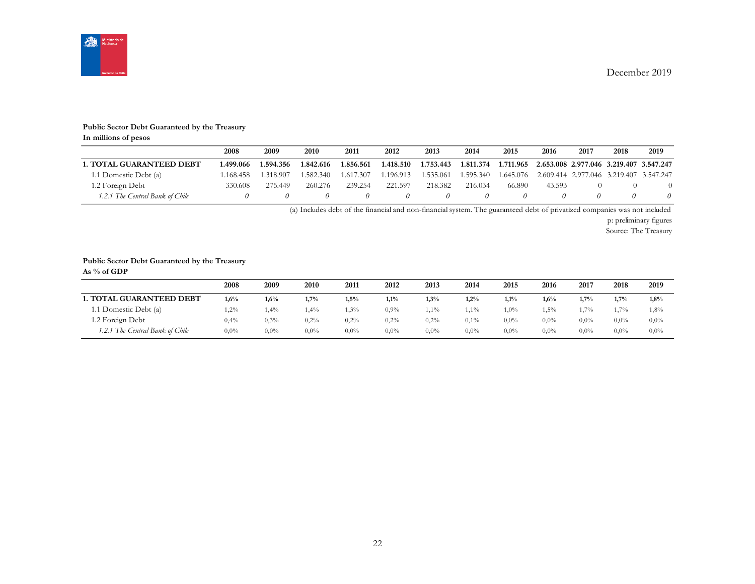

#### **Public Sector Debt Guaranteed by the Treasury**

**In millions of pesos**

|                                 | 2008      | 2009      | 2010      | 2011      | 2012      | 2013      | 2014      | 2015      | 2016                                              | 2017 | 2018 | 2019 |
|---------------------------------|-----------|-----------|-----------|-----------|-----------|-----------|-----------|-----------|---------------------------------------------------|------|------|------|
| <b>1. TOTAL GUARANTEED DEBT</b> | 1.499.066 | 1.594.356 | 1.842.616 | 1.856.561 | 1.418.510 | 1.753.443 | 1.811.374 | 1.711.965 | 2.653.008 2.977.046 3.219.407 3.547.247           |      |      |      |
| 1.1 Domestic Debt (a)           | .168.458  | 1.318.907 | 1.582.340 | 1.617.307 | 1.196.913 | 1.535.061 | 1.595.340 |           | 1.645.076 2.609.414 2.977.046 3.219.407 3.547.247 |      |      |      |
| 1.2 Foreign Debt                | 330.608   | 275.449   | 260.276   | 239.254   | 221.597   | 218.382   | 216.034   | 66.890    | 43.593                                            |      |      |      |
| 1.2.1 The Central Bank of Chile |           |           |           |           |           | $\theta$  |           |           |                                                   |      |      |      |

(a) Includes debt of the financial and non-financial system. The guaranteed debt of privatized companies was not included

p: preliminary figures

Source: The Treasury

#### **Public Sector Debt Guaranteed by the Treasury**

**As % of GDP**

|                                 | 2008    | 2009    | 2010    | 2011    | 2012    | 2013    | 2014    | 2015    | 2016    | 2017    | 2018    | 2019    |
|---------------------------------|---------|---------|---------|---------|---------|---------|---------|---------|---------|---------|---------|---------|
| <b>1. TOTAL GUARANTEED DEBT</b> | 1,6%    | 1,6%    | 1,7%    | 1,5%    | $1,1\%$ | 1,3%    | 1,2%    | 1,1%    | 1,6%    | 1,7%    | 1,7%    | 1,8%    |
| 1.1 Domestic Debt (a)           | $2\%$   | 1,4%    | $.4\%$  | $.3\%$  | $0.9\%$ | $1\%$   | $1\%$   | $0\%$   | $.5\%$  | $1.7\%$ | 1.7%    | 1,8%    |
| 1.2 Foreign Debt                | 0,4%    | 0.3%    | 0,2%    | 0,2%    | $0.2\%$ | 0,2%    | 0,1%    | $0.0\%$ | $0.0\%$ | $0.0\%$ | $0.0\%$ | $0,0\%$ |
| 1.2.1 The Central Bank of Chile | $0,0\%$ | $0.0\%$ | $0.0\%$ | $0.0\%$ | $0.0\%$ | $0.0\%$ | $0.0\%$ | $0.0\%$ | $0.0\%$ | $0.0\%$ | $0.0\%$ | $0,0\%$ |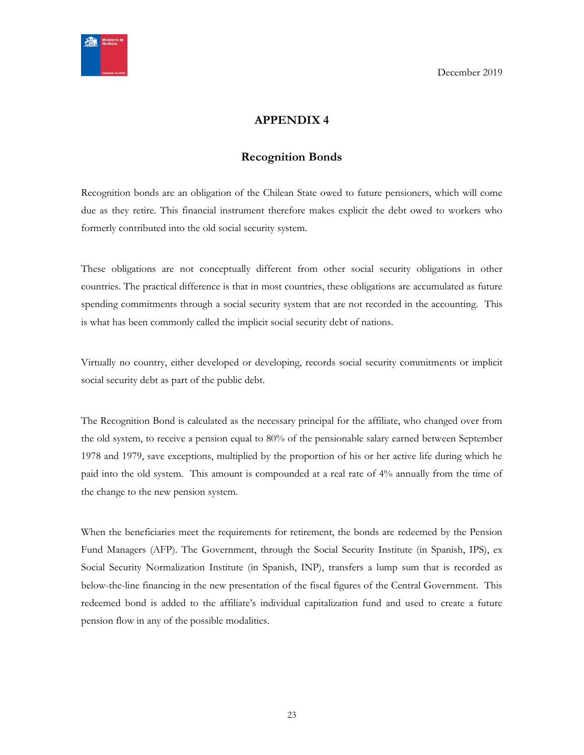<span id="page-22-0"></span>

# **APPENDIX 4**

# **Recognition Bonds**

<span id="page-22-1"></span>Recognition bonds are an obligation of the Chilean State owed to future pensioners, which will come due as they retire. This financial instrument therefore makes explicit the debt owed to workers who formerly contributed into the old social security system.

These obligations are not conceptually different from other social security obligations in other countries. The practical difference is that in most countries, these obligations are accumulated as future spending commitments through a social security system that are not recorded in the accounting. This is what has been commonly called the implicit social security debt of nations.

Virtually no country, either developed or developing, records social security commitments or implicit social security debt as part of the public debt.

The Recognition Bond is calculated as the necessary principal for the affiliate, who changed over from the old system, to receive a pension equal to 80% of the pensionable salary earned between September 1978 and 1979, save exceptions, multiplied by the proportion of his or her active life during which he paid into the old system. This amount is compounded at a real rate of 4% annually from the time of the change to the new pension system.

When the beneficiaries meet the requirements for retirement, the bonds are redeemed by the Pension Fund Managers (AFP). The Government, through the Social Security Institute (in Spanish, IPS), ex Social Security Normalization Institute (in Spanish, INP), transfers a lump sum that is recorded as below-the-line financing in the new presentation of the fiscal figures of the Central Government. This redeemed bond is added to the affiliate's individual capitalization fund and used to create a future pension flow in any of the possible modalities.